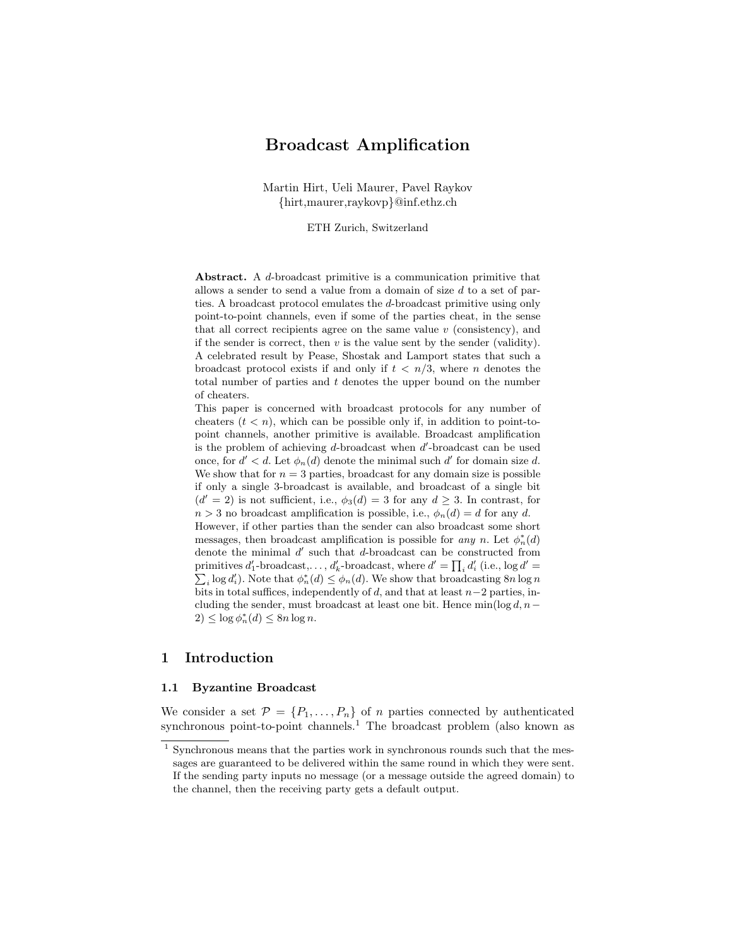# Broadcast Amplification

Martin Hirt, Ueli Maurer, Pavel Raykov {hirt,maurer,raykovp}@inf.ethz.ch

ETH Zurich, Switzerland

Abstract. A d-broadcast primitive is a communication primitive that allows a sender to send a value from a domain of size d to a set of parties. A broadcast protocol emulates the d-broadcast primitive using only point-to-point channels, even if some of the parties cheat, in the sense that all correct recipients agree on the same value  $v$  (consistency), and if the sender is correct, then  $v$  is the value sent by the sender (validity). A celebrated result by Pease, Shostak and Lamport states that such a broadcast protocol exists if and only if  $t < n/3$ , where *n* denotes the total number of parties and  $t$  denotes the upper bound on the number of cheaters.

This paper is concerned with broadcast protocols for any number of cheaters  $(t < n)$ , which can be possible only if, in addition to point-topoint channels, another primitive is available. Broadcast amplification is the problem of achieving  $d$ -broadcast when  $d'$ -broadcast can be used once, for  $d' < d$ . Let  $\phi_n(d)$  denote the minimal such d' for domain size d. We show that for  $n = 3$  parties, broadcast for any domain size is possible if only a single 3-broadcast is available, and broadcast of a single bit  $(d' = 2)$  is not sufficient, i.e.,  $\phi_3(d) = 3$  for any  $d \geq 3$ . In contrast, for  $n > 3$  no broadcast amplification is possible, i.e.,  $\phi_n(d) = d$  for any d. However, if other parties than the sender can also broadcast some short messages, then broadcast amplification is possible for any n. Let  $\phi_n^*(d)$ denote the minimal  $d'$  such that  $d$ -broadcast can be constructed from primitives  $d'_1$ -broadcast,...,  $d'_k$ -broadcast, where  $d' = \prod_i d'_i$  (i.e.,  $\log d'$ ) primitives  $d'_1$ -broadcast,...,  $d'_k$ -broadcast, where  $d' = \prod_i d'_i$  (i.e., log  $d' = \sum_i \log d'_i$ ). Note that  $\phi_n^*(d) \leq \phi_n(d)$ . We show that broadcasting 8n log n bits in total suffices, independently of  $d$ , and that at least  $n-2$  parties, including the sender, must broadcast at least one bit. Hence  $\min(\log d, n-\ell)$  $2) \leq \log \phi_n^*(d) \leq 8n \log n.$ 

# 1 Introduction

#### 1.1 Byzantine Broadcast

We consider a set  $\mathcal{P} = \{P_1, \ldots, P_n\}$  of *n* parties connected by authenticated synchronous point-to-point channels.<sup>1</sup> The broadcast problem (also known as

 $^{\rm 1}$  Synchronous means that the parties work in synchronous rounds such that the messages are guaranteed to be delivered within the same round in which they were sent. If the sending party inputs no message (or a message outside the agreed domain) to the channel, then the receiving party gets a default output.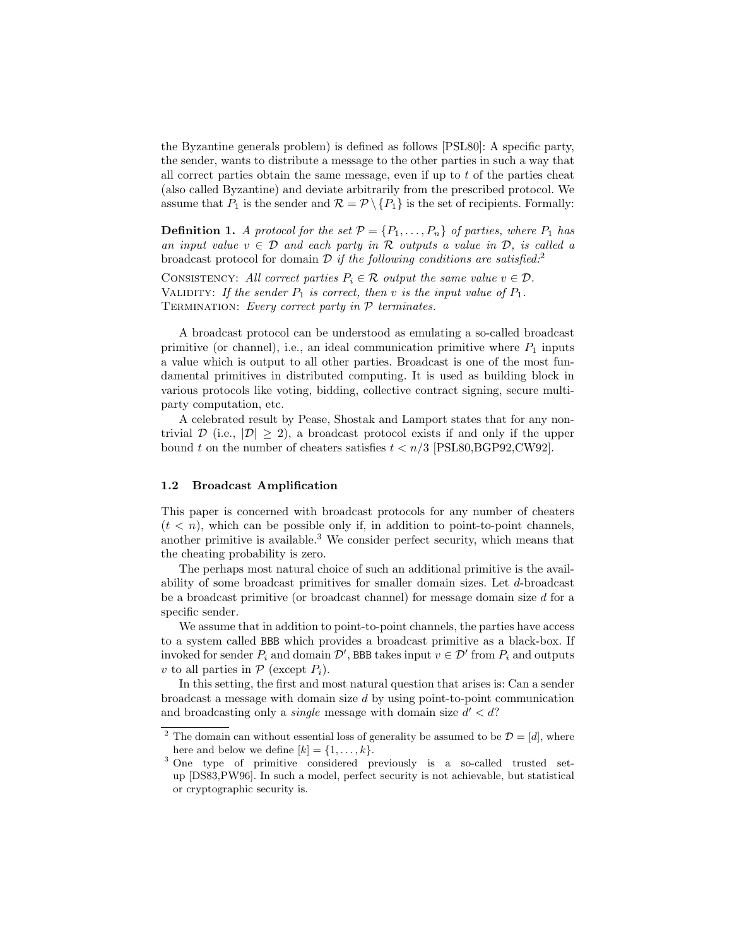the Byzantine generals problem) is defined as follows [PSL80]: A specific party, the sender, wants to distribute a message to the other parties in such a way that all correct parties obtain the same message, even if up to  $t$  of the parties cheat (also called Byzantine) and deviate arbitrarily from the prescribed protocol. We assume that  $P_1$  is the sender and  $\mathcal{R} = \mathcal{P} \setminus \{P_1\}$  is the set of recipients. Formally:

**Definition 1.** A protocol for the set  $\mathcal{P} = \{P_1, \ldots, P_n\}$  of parties, where  $P_1$  has an input value  $v \in \mathcal{D}$  and each party in R outputs a value in  $\mathcal{D}$ , is called a broadcast protocol for domain  $\mathcal D$  if the following conditions are satisfied.<sup>2</sup>

CONSISTENCY: All correct parties  $P_i \in \mathcal{R}$  output the same value  $v \in \mathcal{D}$ . VALIDITY: If the sender  $P_1$  is correct, then v is the input value of  $P_1$ . TERMINATION: Every correct party in  $P$  terminates.

A broadcast protocol can be understood as emulating a so-called broadcast primitive (or channel), i.e., an ideal communication primitive where  $P_1$  inputs a value which is output to all other parties. Broadcast is one of the most fundamental primitives in distributed computing. It is used as building block in various protocols like voting, bidding, collective contract signing, secure multiparty computation, etc.

A celebrated result by Pease, Shostak and Lamport states that for any nontrivial  $\mathcal{D}$  (i.e.,  $|\mathcal{D}| \geq 2$ ), a broadcast protocol exists if and only if the upper bound t on the number of cheaters satisfies  $t < n/3$  [PSL80, BGP92, CW92].

#### 1.2 Broadcast Amplification

This paper is concerned with broadcast protocols for any number of cheaters  $(t < n)$ , which can be possible only if, in addition to point-to-point channels, another primitive is available.<sup>3</sup> We consider perfect security, which means that the cheating probability is zero.

The perhaps most natural choice of such an additional primitive is the availability of some broadcast primitives for smaller domain sizes. Let d-broadcast be a broadcast primitive (or broadcast channel) for message domain size d for a specific sender.

We assume that in addition to point-to-point channels, the parties have access to a system called BBB which provides a broadcast primitive as a black-box. If invoked for sender  $P_i$  and domain  $\mathcal{D}'$ , BBB takes input  $v \in \mathcal{D}'$  from  $P_i$  and outputs v to all parties in  $P$  (except  $P_i$ ).

In this setting, the first and most natural question that arises is: Can a sender broadcast a message with domain size d by using point-to-point communication and broadcasting only a *single* message with domain size  $d' < d$ ?

<sup>&</sup>lt;sup>2</sup> The domain can without essential loss of generality be assumed to be  $\mathcal{D} = [d]$ , where here and below we define  $[k] = \{1, \ldots, k\}.$ 

<sup>3</sup> One type of primitive considered previously is a so-called trusted setup [DS83,PW96]. In such a model, perfect security is not achievable, but statistical or cryptographic security is.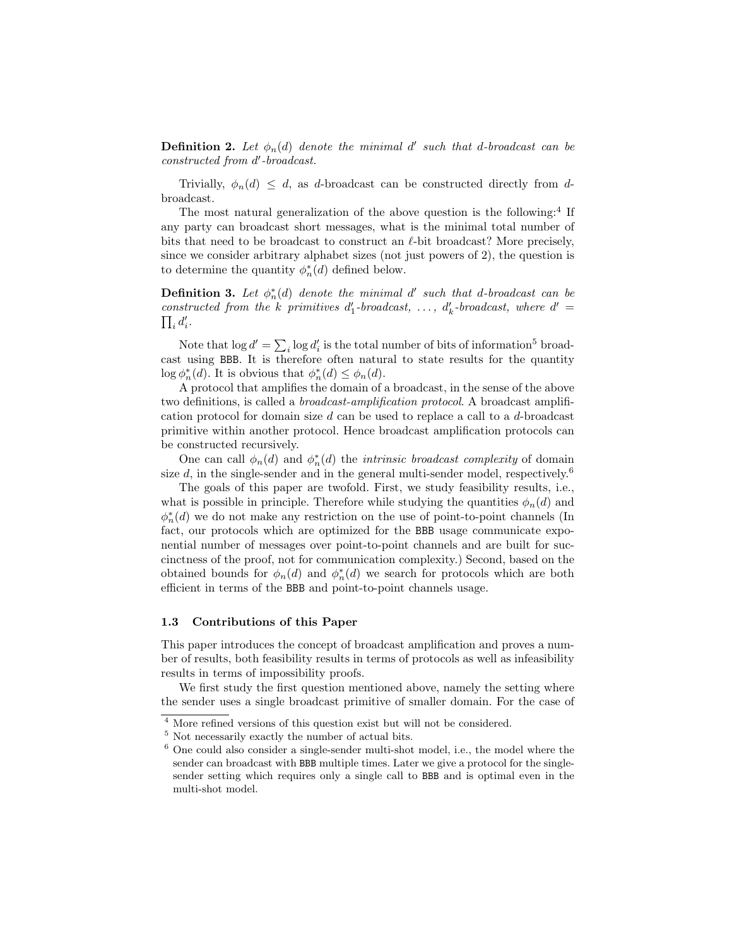**Definition 2.** Let  $\phi_n(d)$  denote the minimal d' such that d-broadcast can be constructed from d'-broadcast.

Trivially,  $\phi_n(d) \leq d$ , as d-broadcast can be constructed directly from dbroadcast.

The most natural generalization of the above question is the following:<sup>4</sup> If any party can broadcast short messages, what is the minimal total number of bits that need to be broadcast to construct an  $\ell$ -bit broadcast? More precisely, since we consider arbitrary alphabet sizes (not just powers of 2), the question is to determine the quantity  $\phi_n^*(d)$  defined below.

**Definition 3.** Let  $\phi_n^*(d)$  denote the minimal d' such that d-broadcast can be constructed from the k primitives  $d'_1$ -broadcast, ...,  $d'_k$ -broadcast, where  $d' =$  $\prod_i d_i'.$ 

Note that  $\log d' = \sum_i \log d'_i$  is the total number of bits of information<sup>5</sup> broadcast using BBB. It is therefore often natural to state results for the quantity  $\log \phi_n^*(d)$ . It is obvious that  $\phi_n^*(d) \leq \phi_n(d)$ .

A protocol that amplifies the domain of a broadcast, in the sense of the above two definitions, is called a broadcast-amplification protocol. A broadcast amplification protocol for domain size d can be used to replace a call to a d-broadcast primitive within another protocol. Hence broadcast amplification protocols can be constructed recursively.

One can call  $\phi_n(d)$  and  $\phi_n^*(d)$  the *intrinsic broadcast complexity* of domain size d, in the single-sender and in the general multi-sender model, respectively.<sup>6</sup>

The goals of this paper are twofold. First, we study feasibility results, i.e., what is possible in principle. Therefore while studying the quantities  $\phi_n(d)$  and  $\phi_n^*(d)$  we do not make any restriction on the use of point-to-point channels (In fact, our protocols which are optimized for the BBB usage communicate exponential number of messages over point-to-point channels and are built for succinctness of the proof, not for communication complexity.) Second, based on the obtained bounds for  $\phi_n(d)$  and  $\phi_n^*(d)$  we search for protocols which are both efficient in terms of the BBB and point-to-point channels usage.

#### 1.3 Contributions of this Paper

This paper introduces the concept of broadcast amplification and proves a number of results, both feasibility results in terms of protocols as well as infeasibility results in terms of impossibility proofs.

We first study the first question mentioned above, namely the setting where the sender uses a single broadcast primitive of smaller domain. For the case of

<sup>4</sup> More refined versions of this question exist but will not be considered.

 $5$  Not necessarily exactly the number of actual bits.

 $6$  One could also consider a single-sender multi-shot model, i.e., the model where the sender can broadcast with BBB multiple times. Later we give a protocol for the singlesender setting which requires only a single call to BBB and is optimal even in the multi-shot model.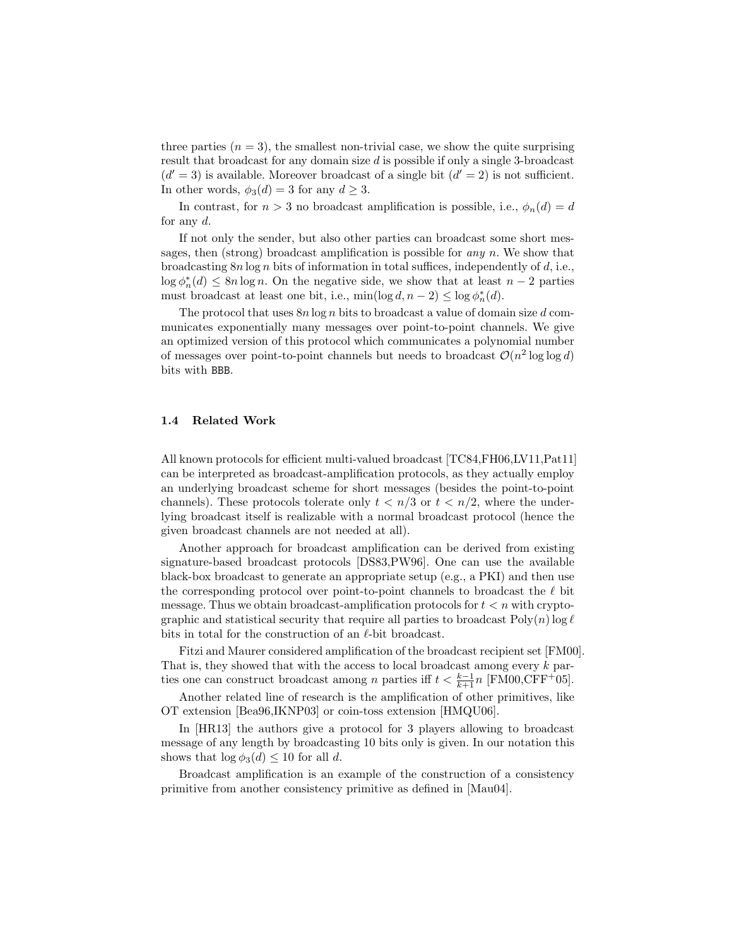three parties  $(n = 3)$ , the smallest non-trivial case, we show the quite surprising result that broadcast for any domain size d is possible if only a single 3-broadcast  $(d' = 3)$  is available. Moreover broadcast of a single bit  $(d' = 2)$  is not sufficient. In other words,  $\phi_3(d) = 3$  for any  $d \geq 3$ .

In contrast, for  $n > 3$  no broadcast amplification is possible, i.e.,  $\phi_n(d) = d$ for any  $d$ .

If not only the sender, but also other parties can broadcast some short messages, then (strong) broadcast amplification is possible for *any n*. We show that broadcasting  $8n \log n$  bits of information in total suffices, independently of d, i.e.,  $\log \phi_n^*(d) \leq 8n \log n$ . On the negative side, we show that at least  $n-2$  parties must broadcast at least one bit, i.e.,  $\min(\log d, n - 2) \leq \log \phi_n^*(d)$ .

The protocol that uses  $8n \log n$  bits to broadcast a value of domain size d communicates exponentially many messages over point-to-point channels. We give an optimized version of this protocol which communicates a polynomial number of messages over point-to-point channels but needs to broadcast  $\mathcal{O}(n^2 \log \log d)$ bits with BBB.

#### 1.4 Related Work

All known protocols for efficient multi-valued broadcast [TC84,FH06,LV11,Pat11] can be interpreted as broadcast-amplification protocols, as they actually employ an underlying broadcast scheme for short messages (besides the point-to-point channels). These protocols tolerate only  $t < n/3$  or  $t < n/2$ , where the underlying broadcast itself is realizable with a normal broadcast protocol (hence the given broadcast channels are not needed at all).

Another approach for broadcast amplification can be derived from existing signature-based broadcast protocols [DS83,PW96]. One can use the available black-box broadcast to generate an appropriate setup (e.g., a PKI) and then use the corresponding protocol over point-to-point channels to broadcast the  $\ell$  bit message. Thus we obtain broadcast-amplification protocols for  $t < n$  with cryptographic and statistical security that require all parties to broadcast  $Poly(n)$  log  $\ell$ bits in total for the construction of an  $\ell$ -bit broadcast.

Fitzi and Maurer considered amplification of the broadcast recipient set [FM00]. That is, they showed that with the access to local broadcast among every  $k$  parties one can construct broadcast among n parties iff  $t < \frac{k-1}{k+1}n$  [FM00,CFF<sup>+</sup>05].

Another related line of research is the amplification of other primitives, like OT extension [Bea96,IKNP03] or coin-toss extension [HMQU06].

In [HR13] the authors give a protocol for 3 players allowing to broadcast message of any length by broadcasting 10 bits only is given. In our notation this shows that  $\log \phi_3(d) \leq 10$  for all d.

Broadcast amplification is an example of the construction of a consistency primitive from another consistency primitive as defined in [Mau04].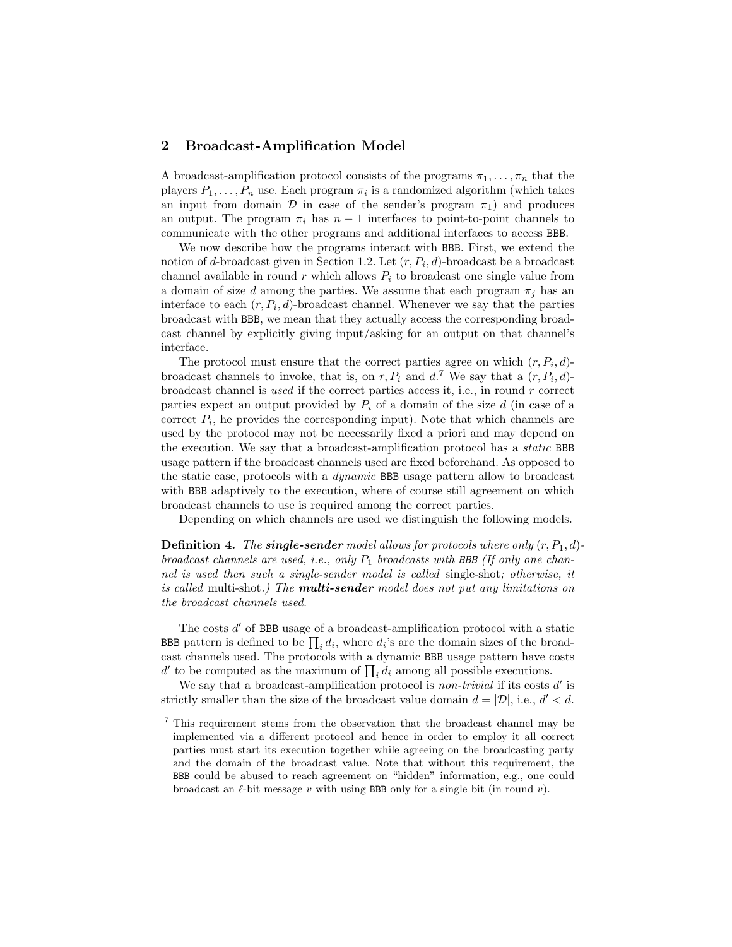# 2 Broadcast-Amplification Model

A broadcast-amplification protocol consists of the programs  $\pi_1, \ldots, \pi_n$  that the players  $P_1, \ldots, P_n$  use. Each program  $\pi_i$  is a randomized algorithm (which takes an input from domain  $\mathcal D$  in case of the sender's program  $\pi_1$ ) and produces an output. The program  $\pi_i$  has  $n-1$  interfaces to point-to-point channels to communicate with the other programs and additional interfaces to access BBB.

We now describe how the programs interact with BBB. First, we extend the notion of d-broadcast given in Section 1.2. Let  $(r, P_i, d)$ -broadcast be a broadcast channel available in round  $r$  which allows  $P_i$  to broadcast one single value from a domain of size d among the parties. We assume that each program  $\pi_i$  has an interface to each  $(r, P_i, d)$ -broadcast channel. Whenever we say that the parties broadcast with BBB, we mean that they actually access the corresponding broadcast channel by explicitly giving input/asking for an output on that channel's interface.

The protocol must ensure that the correct parties agree on which  $(r, P_i, d)$ broadcast channels to invoke, that is, on  $r, P_i$  and  $d$ .<sup>7</sup> We say that a  $(r, P_i, d)$ broadcast channel is used if the correct parties access it, i.e., in round r correct parties expect an output provided by  $P_i$  of a domain of the size d (in case of a correct  $P_i$ , he provides the corresponding input). Note that which channels are used by the protocol may not be necessarily fixed a priori and may depend on the execution. We say that a broadcast-amplification protocol has a static BBB usage pattern if the broadcast channels used are fixed beforehand. As opposed to the static case, protocols with a dynamic BBB usage pattern allow to broadcast with BBB adaptively to the execution, where of course still agreement on which broadcast channels to use is required among the correct parties.

Depending on which channels are used we distinguish the following models.

**Definition 4.** The **single-sender** model allows for protocols where only  $(r, P_1, d)$ broadcast channels are used, i.e., only  $P_1$  broadcasts with BBB (If only one channel is used then such a single-sender model is called single-shot; otherwise, it is called multi-shot.) The **multi-sender** model does not put any limitations on the broadcast channels used.

The costs  $d'$  of BBB usage of a broadcast-amplification protocol with a static BBB pattern is defined to be  $\prod_i d_i$ , where  $d_i$ 's are the domain sizes of the broadcast channels used. The protocols with a dynamic BBB usage pattern have costs  $d'$  to be computed as the maximum of  $\prod_i d_i$  among all possible executions.

We say that a broadcast-amplification protocol is *non-trivial* if its costs  $d'$  is strictly smaller than the size of the broadcast value domain  $d = |\mathcal{D}|$ , i.e.,  $d' < d$ .

<sup>7</sup> This requirement stems from the observation that the broadcast channel may be implemented via a different protocol and hence in order to employ it all correct parties must start its execution together while agreeing on the broadcasting party and the domain of the broadcast value. Note that without this requirement, the BBB could be abused to reach agreement on "hidden" information, e.g., one could broadcast an  $\ell$ -bit message v with using BBB only for a single bit (in round v).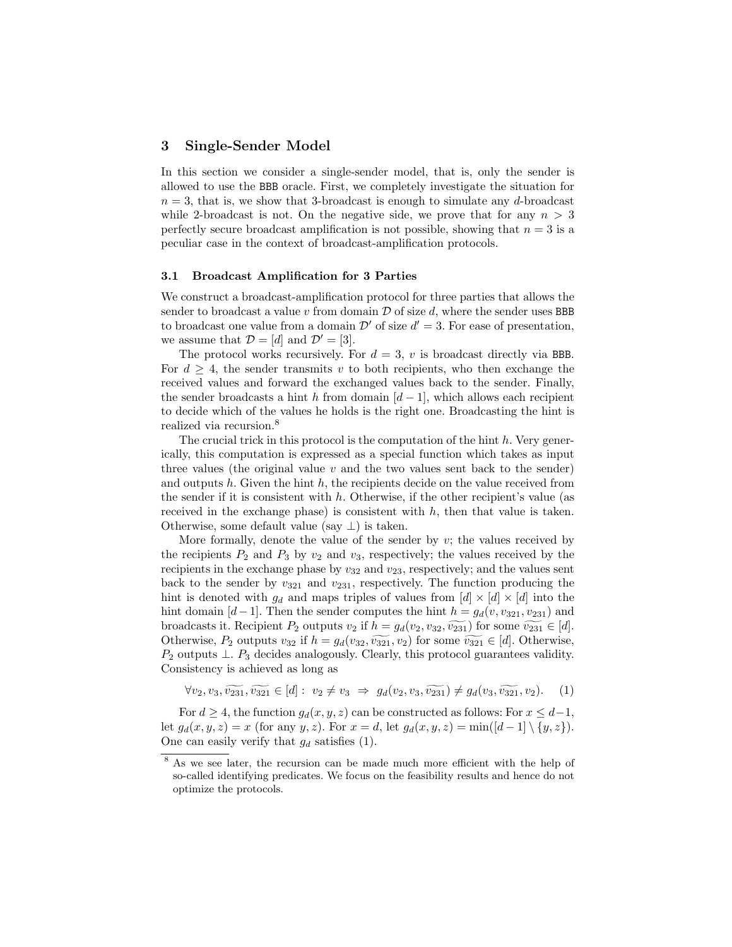# 3 Single-Sender Model

In this section we consider a single-sender model, that is, only the sender is allowed to use the BBB oracle. First, we completely investigate the situation for  $n = 3$ , that is, we show that 3-broadcast is enough to simulate any d-broadcast while 2-broadcast is not. On the negative side, we prove that for any  $n > 3$ perfectly secure broadcast amplification is not possible, showing that  $n = 3$  is a peculiar case in the context of broadcast-amplification protocols.

#### 3.1 Broadcast Amplification for 3 Parties

We construct a broadcast-amplification protocol for three parties that allows the sender to broadcast a value v from domain  $\mathcal D$  of size d, where the sender uses BBB to broadcast one value from a domain  $\mathcal{D}'$  of size  $d' = 3$ . For ease of presentation, we assume that  $\mathcal{D} = [d]$  and  $\mathcal{D}' = [3]$ .

The protocol works recursively. For  $d = 3$ , v is broadcast directly via BBB. For  $d \geq 4$ , the sender transmits v to both recipients, who then exchange the received values and forward the exchanged values back to the sender. Finally, the sender broadcasts a hint h from domain  $[d-1]$ , which allows each recipient to decide which of the values he holds is the right one. Broadcasting the hint is realized via recursion.<sup>8</sup>

The crucial trick in this protocol is the computation of the hint  $h$ . Very generically, this computation is expressed as a special function which takes as input three values (the original value  $v$  and the two values sent back to the sender) and outputs h. Given the hint h, the recipients decide on the value received from the sender if it is consistent with  $h$ . Otherwise, if the other recipient's value (as received in the exchange phase) is consistent with  $h$ , then that value is taken. Otherwise, some default value (say  $\perp$ ) is taken.

More formally, denote the value of the sender by  $v$ ; the values received by the recipients  $P_2$  and  $P_3$  by  $v_2$  and  $v_3$ , respectively; the values received by the recipients in the exchange phase by  $v_{32}$  and  $v_{23}$ , respectively; and the values sent back to the sender by  $v_{321}$  and  $v_{231}$ , respectively. The function producing the hint is denoted with  $g_d$  and maps triples of values from  $[d] \times [d] \times [d]$  into the hint domain [d−1]. Then the sender computes the hint  $h = g_d(v, v_{321}, v_{231})$  and broadcasts it. Recipient  $P_2$  outputs  $v_2$  if  $h = g_d(v_2, v_{32}, \widetilde{v_{231}})$  for some  $\widetilde{v_{231}} \in [d]$ . Otherwise,  $P_2$  outputs  $v_{32}$  if  $h = g_d(v_{32}, \widetilde{v_{321}}, v_2)$  for some  $\widetilde{v_{321}} \in [d]$ . Otherwise,  $P_2$  outputs  $\perp$ .  $P_3$  decides analogously. Clearly, this protocol guarantees validity. Consistency is achieved as long as

$$
\forall v_2, v_3, \widetilde{v_{231}}, \widetilde{v_{321}} \in [d]: v_2 \neq v_3 \implies g_d(v_2, v_3, \widetilde{v_{231}}) \neq g_d(v_3, \widetilde{v_{321}}, v_2). \tag{1}
$$

For  $d \geq 4$ , the function  $g_d(x, y, z)$  can be constructed as follows: For  $x \leq d-1$ , let  $g_d(x, y, z) = x$  (for any y, z). For  $x = d$ , let  $g_d(x, y, z) = \min([d-1] \setminus \{y, z\}).$ One can easily verify that  $g_d$  satisfies (1).

<sup>8</sup> As we see later, the recursion can be made much more efficient with the help of so-called identifying predicates. We focus on the feasibility results and hence do not optimize the protocols.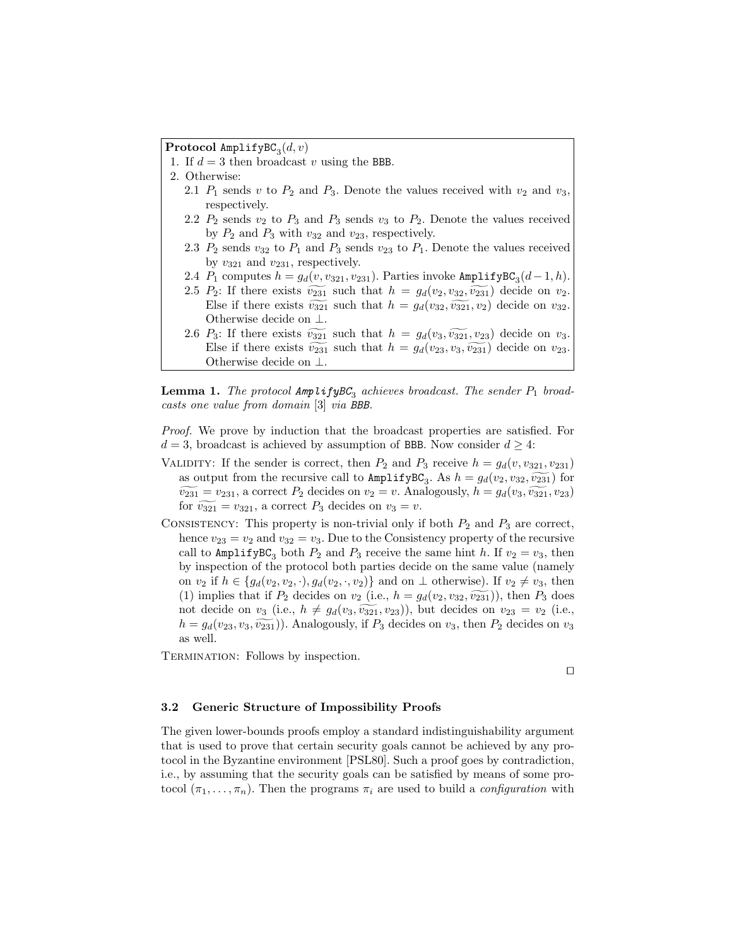$\mathbf{Protocol}$  AmplifyBC $_3(d,v)$ 

- 1. If  $d = 3$  then broadcast v using the BBB.
- 2. Otherwise: 2.1  $P_1$  sends v to  $P_2$  and  $P_3$ . Denote the values received with  $v_2$  and  $v_3$ , respectively.
	- 2.2  $P_2$  sends  $v_2$  to  $P_3$  and  $P_3$  sends  $v_3$  to  $P_2$ . Denote the values received by  $P_2$  and  $P_3$  with  $v_{32}$  and  $v_{23}$ , respectively.
	- 2.3  $P_2$  sends  $v_{32}$  to  $P_1$  and  $P_3$  sends  $v_{23}$  to  $P_1$ . Denote the values received by  $v_{321}$  and  $v_{231}$ , respectively.
	- 2.4  $P_1$  computes  $h = g_d(v, v_{321}, v_{231})$ . Parties invoke AmplifyBC<sub>3</sub>(d-1,h).
	- 2.5  $P_2$ : If there exists  $\widetilde{v_{231}}$  such that  $h = g_d(v_2, v_{32}, \widetilde{v_{231}})$  decide on  $v_2$ . Else if there exists  $\widetilde{v_{321}}$  such that  $h = g_d(v_{32}, \widetilde{v_{321}}, v_2)$  decide on  $v_{32}$ . Otherwise decide on ⊥.
	- 2.6  $P_3$ : If there exists  $\widetilde{v_{321}}$  such that  $h = g_d(v_3, \widetilde{v_{321}}, v_{23})$  decide on  $v_3$ . Else if there exists  $\widetilde{v_{231}}$  such that  $h = g_d(v_{23}, v_3, \widetilde{v_{231}})$  decide on  $v_{23}$ . Otherwise decide on ⊥.

**Lemma 1.** The protocol  $\textsf{AmplifyBC}_3$  achieves broadcast. The sender  $P_1$  broadcasts one value from domain [3] via BBB.

Proof. We prove by induction that the broadcast properties are satisfied. For  $d = 3$ , broadcast is achieved by assumption of BBB. Now consider  $d \geq 4$ :

- VALIDITY: If the sender is correct, then  $P_2$  and  $P_3$  receive  $h = g_d(v, v_{321}, v_{231})$ as output from the recursive call to  $\text{AmplifyBC}_3$ . As  $h = g_d(v_2, v_{32}, \widetilde{v_{231}})$  for  $\widetilde{v_{231}} = v_{231}$ , a correct  $P_2$  decides on  $v_2 = v$ . Analogously,  $h = g_d(v_3, \widetilde{v_{321}}, v_{23})$ for  $\widetilde{v_{321}} = v_{321}$ , a correct  $P_3$  decides on  $v_3 = v$ .
- CONSISTENCY: This property is non-trivial only if both  $P_2$  and  $P_3$  are correct, hence  $v_{23} = v_2$  and  $v_{32} = v_3$ . Due to the Consistency property of the recursive call to AmplifyBC<sub>3</sub> both  $P_2$  and  $P_3$  receive the same hint h. If  $v_2 = v_3$ , then by inspection of the protocol both parties decide on the same value (namely on  $v_2$  if  $h \in \{g_d(v_2, v_2, \cdot), g_d(v_2, \cdot, v_2)\}\$  and on  $\bot$  otherwise). If  $v_2 \neq v_3$ , then (1) implies that if  $P_2$  decides on  $v_2$  (i.e.,  $h = g_d(v_2, v_{32}, \widetilde{v_{231}})$ ), then  $P_3$  does not decide on  $v_3$  (i.e.,  $h \neq g_d(v_3, \widetilde{v_{321}}, v_{23})$ ), but decides on  $v_{23} = v_2$  (i.e.,  $h = g_d(v_{23}, v_3, \widetilde{v_{231}})$ . Analogously, if  $P_3$  decides on  $v_3$ , then  $P_2$  decides on  $v_3$ as well.

TERMINATION: Follows by inspection.

 $\Box$ 

### 3.2 Generic Structure of Impossibility Proofs

The given lower-bounds proofs employ a standard indistinguishability argument that is used to prove that certain security goals cannot be achieved by any protocol in the Byzantine environment [PSL80]. Such a proof goes by contradiction, i.e., by assuming that the security goals can be satisfied by means of some protocol  $(\pi_1, \ldots, \pi_n)$ . Then the programs  $\pi_i$  are used to build a *configuration* with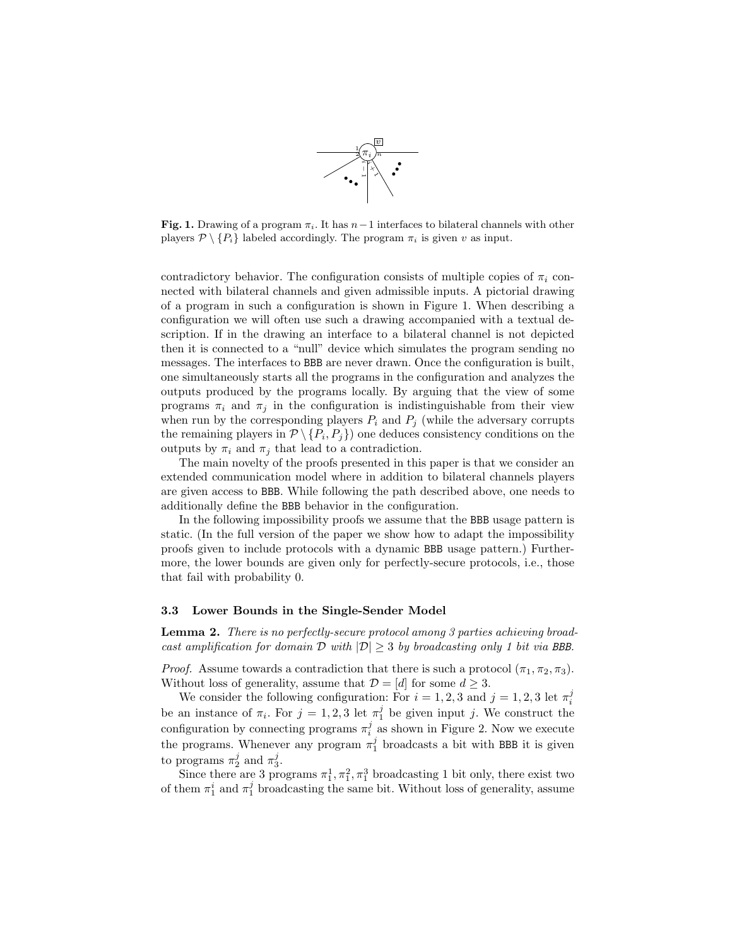

Fig. 1. Drawing of a program  $\pi_i$ . It has  $n-1$  interfaces to bilateral channels with other players  $\mathcal{P} \setminus \{P_i\}$  labeled accordingly. The program  $\pi_i$  is given v as input.

contradictory behavior. The configuration consists of multiple copies of  $\pi_i$  connected with bilateral channels and given admissible inputs. A pictorial drawing of a program in such a configuration is shown in Figure 1. When describing a configuration we will often use such a drawing accompanied with a textual description. If in the drawing an interface to a bilateral channel is not depicted then it is connected to a "null" device which simulates the program sending no messages. The interfaces to BBB are never drawn. Once the configuration is built, one simultaneously starts all the programs in the configuration and analyzes the outputs produced by the programs locally. By arguing that the view of some programs  $\pi_i$  and  $\pi_j$  in the configuration is indistinguishable from their view when run by the corresponding players  $P_i$  and  $P_j$  (while the adversary corrupts the remaining players in  $\mathcal{P} \setminus \{P_i, P_j\}$  one deduces consistency conditions on the outputs by  $\pi_i$  and  $\pi_j$  that lead to a contradiction.

The main novelty of the proofs presented in this paper is that we consider an extended communication model where in addition to bilateral channels players are given access to BBB. While following the path described above, one needs to additionally define the BBB behavior in the configuration.

In the following impossibility proofs we assume that the BBB usage pattern is static. (In the full version of the paper we show how to adapt the impossibility proofs given to include protocols with a dynamic BBB usage pattern.) Furthermore, the lower bounds are given only for perfectly-secure protocols, i.e., those that fail with probability 0.

#### 3.3 Lower Bounds in the Single-Sender Model

Lemma 2. There is no perfectly-secure protocol among 3 parties achieving broadcast amplification for domain  $\mathcal D$  with  $|\mathcal D| > 3$  by broadcasting only 1 bit via BBB.

*Proof.* Assume towards a contradiction that there is such a protocol  $(\pi_1, \pi_2, \pi_3)$ . Without loss of generality, assume that  $\mathcal{D} = [d]$  for some  $d \geq 3$ .

We consider the following configuration: For  $i = 1, 2, 3$  and  $j = 1, 2, 3$  let  $\pi_i^j$ be an instance of  $\pi_i$ . For  $j = 1, 2, 3$  let  $\pi_1^j$  be given input j. We construct the configuration by connecting programs  $\pi_i^j$  as shown in Figure 2. Now we execute the programs. Whenever any program  $\pi_1^j$  broadcasts a bit with BBB it is given to programs  $\pi_2^j$  and  $\pi_3^j$ .

Since there are 3 programs  $\pi_1^1, \pi_1^2, \pi_1^3$  broadcasting 1 bit only, there exist two of them  $\pi_1^i$  and  $\pi_1^j$  broadcasting the same bit. Without loss of generality, assume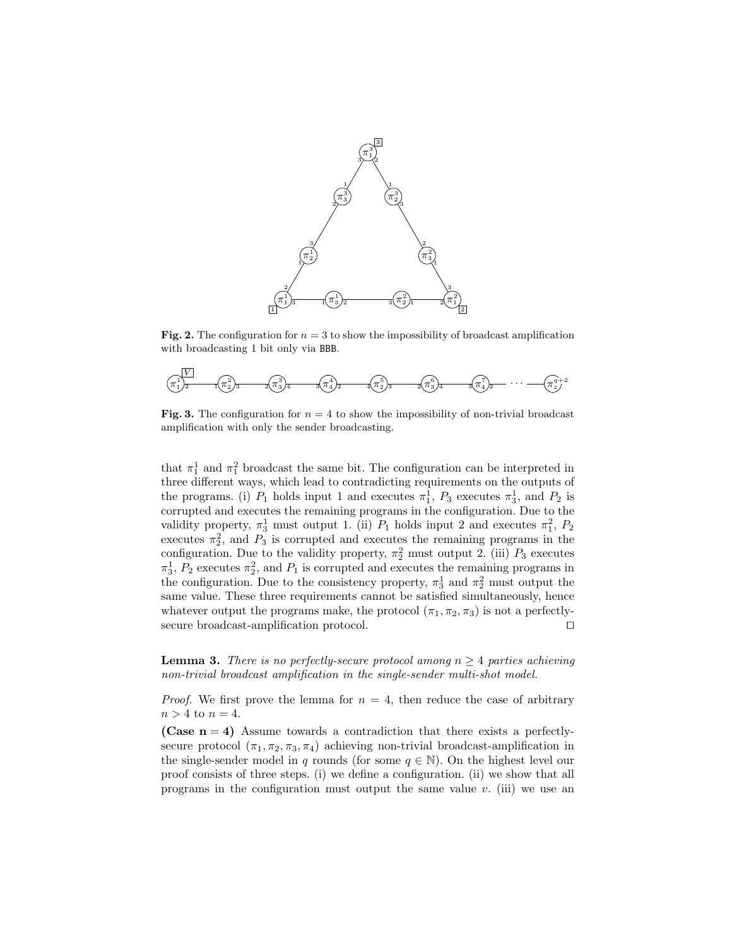

Fig. 2. The configuration for  $n = 3$  to show the impossibility of broadcast amplification with broadcasting 1 bit only via BBB.



Fig. 3. The configuration for  $n = 4$  to show the impossibility of non-trivial broadcast amplification with only the sender broadcasting.

that  $\pi_1^1$  and  $\pi_1^2$  broadcast the same bit. The configuration can be interpreted in three different ways, which lead to contradicting requirements on the outputs of the programs. (i)  $P_1$  holds input 1 and executes  $\pi_1^1$ ,  $P_3$  executes  $\pi_3^1$ , and  $P_2$  is corrupted and executes the remaining programs in the configuration. Due to the validity property,  $\pi_3^1$  must output 1. (ii)  $P_1$  holds input 2 and executes  $\pi_1^2$ ,  $P_2$ executes  $\pi_2^2$ , and  $P_3$  is corrupted and executes the remaining programs in the configuration. Due to the validity property,  $\pi_2^2$  must output 2. (iii)  $P_3$  executes  $\pi_3^1$ ,  $P_2$  executes  $\pi_2^2$ , and  $P_1$  is corrupted and executes the remaining programs in the configuration. Due to the consistency property,  $\pi_3^1$  and  $\pi_2^2$  must output the same value. These three requirements cannot be satisfied simultaneously, hence whatever output the programs make, the protocol  $(\pi_1, \pi_2, \pi_3)$  is not a perfectlysecure broadcast-amplification protocol.  $\Box$ 

**Lemma 3.** There is no perfectly-secure protocol among  $n \geq 4$  parties achieving non-trivial broadcast amplification in the single-sender multi-shot model.

*Proof.* We first prove the lemma for  $n = 4$ , then reduce the case of arbitrary  $n > 4$  to  $n = 4$ .

(Case  $n = 4$ ) Assume towards a contradiction that there exists a perfectlysecure protocol  $(\pi_1, \pi_2, \pi_3, \pi_4)$  achieving non-trivial broadcast-amplification in the single-sender model in q rounds (for some  $q \in \mathbb{N}$ ). On the highest level our proof consists of three steps. (i) we define a configuration. (ii) we show that all programs in the configuration must output the same value  $v$ . (iii) we use an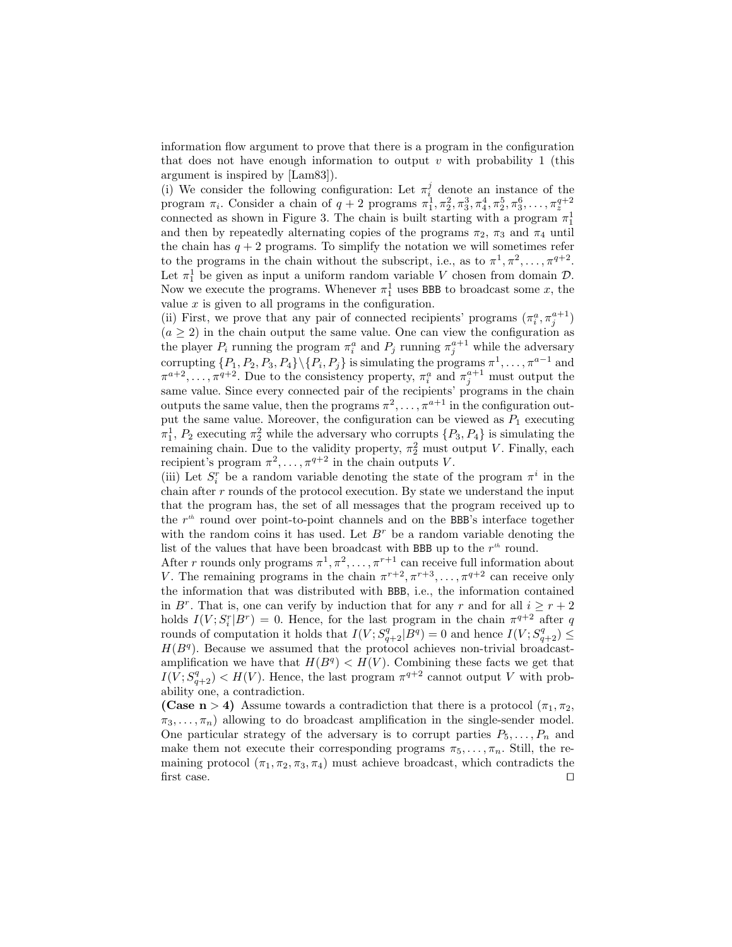information flow argument to prove that there is a program in the configuration that does not have enough information to output  $v$  with probability 1 (this argument is inspired by [Lam83]).

(i) We consider the following configuration: Let  $\pi_i^j$  denote an instance of the program  $\pi_i$ . Consider a chain of  $q+2$  programs  $\pi_1^1, \pi_2^2, \pi_3^3, \pi_4^4, \pi_2^5, \pi_3^6, \ldots, \pi_z^{q+2}$ connected as shown in Figure 3. The chain is built starting with a program  $\pi_1^1$ and then by repeatedly alternating copies of the programs  $\pi_2$ ,  $\pi_3$  and  $\pi_4$  until the chain has  $q + 2$  programs. To simplify the notation we will sometimes refer to the programs in the chain without the subscript, i.e., as to  $\pi^1, \pi^2, \ldots, \pi^{q+2}$ . Let  $\pi_1^1$  be given as input a uniform random variable V chosen from domain  $\mathcal{D}$ . Now we execute the programs. Whenever  $\pi_1^1$  uses BBB to broadcast some x, the value  $x$  is given to all programs in the configuration.

(ii) First, we prove that any pair of connected recipients' programs  $(\pi_i^a, \pi_j^{a+1})$  $(a \geq 2)$  in the chain output the same value. One can view the configuration as the player  $P_i$  running the program  $\pi_i^a$  and  $P_j$  running  $\pi_j^{a+1}$  while the adversary corrupting  $\{P_1, P_2, P_3, P_4\} \setminus \{P_i, P_j\}$  is simulating the programs  $\pi^1, \ldots, \pi^{a-1}$  and  $\pi^{a+2}, \ldots, \pi^{q+2}$ . Due to the consistency property,  $\pi_i^a$  and  $\pi_j^{a+1}$  must output the same value. Since every connected pair of the recipients' programs in the chain outputs the same value, then the programs  $\pi^2, \ldots, \pi^{a+1}$  in the configuration output the same value. Moreover, the configuration can be viewed as  $P_1$  executing  $\pi_1^1$ ,  $P_2$  executing  $\pi_2^2$  while the adversary who corrupts  $\{P_3, P_4\}$  is simulating the remaining chain. Due to the validity property,  $\pi_2^2$  must output V. Finally, each recipient's program  $\pi^2, \ldots, \pi^{q+2}$  in the chain outputs V.

(iii) Let  $S_i^r$  be a random variable denoting the state of the program  $\pi^i$  in the chain after  $r$  rounds of the protocol execution. By state we understand the input that the program has, the set of all messages that the program received up to the  $r<sup>th</sup>$  round over point-to-point channels and on the BBB's interface together with the random coins it has used. Let  $B^r$  be a random variable denoting the list of the values that have been broadcast with BBB up to the  $r<sup>th</sup>$  round.

After r rounds only programs  $\pi^1, \pi^2, \ldots, \pi^{r+1}$  can receive full information about V. The remaining programs in the chain  $\pi^{r+2}, \pi^{r+3}, \ldots, \pi^{q+2}$  can receive only the information that was distributed with BBB, i.e., the information contained in B<sup>r</sup>. That is, one can verify by induction that for any r and for all  $i \geq r+2$ holds  $I(V; S_i^r | B^r) = 0$ . Hence, for the last program in the chain  $\pi^{q+2}$  after q rounds of computation it holds that  $I(V; S_{q+2}^q | \overline{B}{}^q) = 0$  and hence  $I(V; S_{q+2}^q) \leq$  $H(B<sup>q</sup>)$ . Because we assumed that the protocol achieves non-trivial broadcastamplification we have that  $H(B^q) < H(V)$ . Combining these facts we get that  $I(V; S^q_{q+2}) < H(V)$ . Hence, the last program  $\pi^{q+2}$  cannot output V with probability one, a contradiction.

(Case n > 4) Assume towards a contradiction that there is a protocol  $(\pi_1, \pi_2,$  $\pi_3, \ldots, \pi_n$ ) allowing to do broadcast amplification in the single-sender model. One particular strategy of the adversary is to corrupt parties  $P_5, \ldots, P_n$  and make them not execute their corresponding programs  $\pi_5, \ldots, \pi_n$ . Still, the remaining protocol  $(\pi_1, \pi_2, \pi_3, \pi_4)$  must achieve broadcast, which contradicts the first case.  $\square$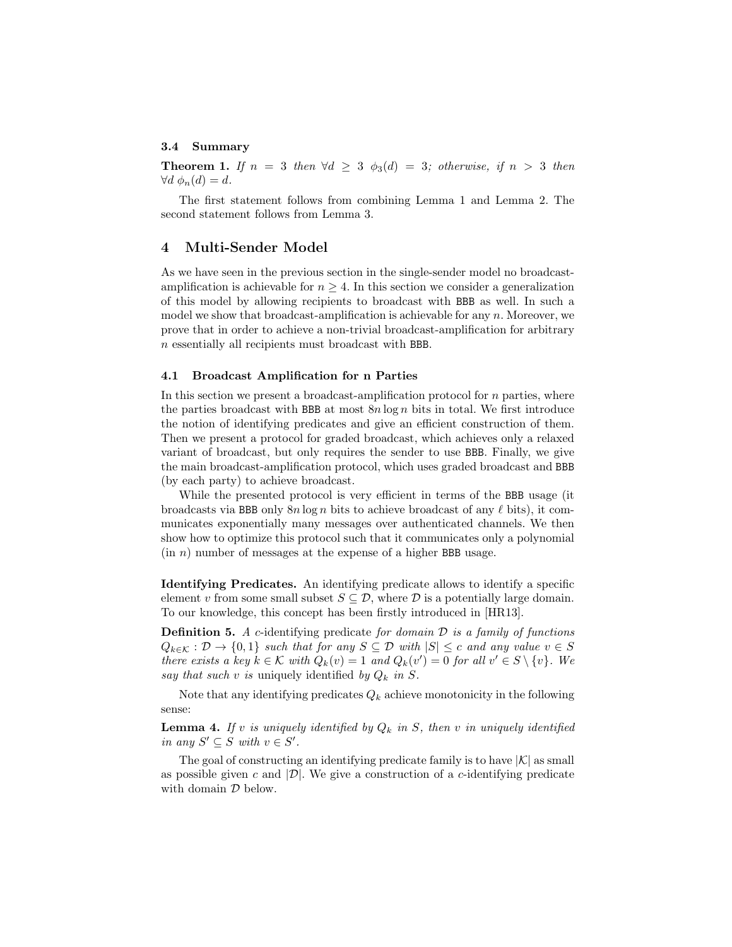# 3.4 Summary

**Theorem 1.** If  $n = 3$  then  $\forall d \geq 3$   $\phi_3(d) = 3$ ; otherwise, if  $n > 3$  then  $\forall d \phi_n(d) = d.$ 

The first statement follows from combining Lemma 1 and Lemma 2. The second statement follows from Lemma 3.

# 4 Multi-Sender Model

As we have seen in the previous section in the single-sender model no broadcastamplification is achievable for  $n \geq 4$ . In this section we consider a generalization of this model by allowing recipients to broadcast with BBB as well. In such a model we show that broadcast-amplification is achievable for any  $n$ . Moreover, we prove that in order to achieve a non-trivial broadcast-amplification for arbitrary n essentially all recipients must broadcast with BBB.

### 4.1 Broadcast Amplification for n Parties

In this section we present a broadcast-amplification protocol for  $n$  parties, where the parties broadcast with BBB at most  $8n \log n$  bits in total. We first introduce the notion of identifying predicates and give an efficient construction of them. Then we present a protocol for graded broadcast, which achieves only a relaxed variant of broadcast, but only requires the sender to use BBB. Finally, we give the main broadcast-amplification protocol, which uses graded broadcast and BBB (by each party) to achieve broadcast.

While the presented protocol is very efficient in terms of the BBB usage (it broadcasts via BBB only  $8n \log n$  bits to achieve broadcast of any  $\ell$  bits), it communicates exponentially many messages over authenticated channels. We then show how to optimize this protocol such that it communicates only a polynomial  $(in n)$  number of messages at the expense of a higher BBB usage.

Identifying Predicates. An identifying predicate allows to identify a specific element v from some small subset  $S \subseteq \mathcal{D}$ , where  $\mathcal D$  is a potentially large domain. To our knowledge, this concept has been firstly introduced in [HR13].

**Definition 5.** A c-identifying predicate for domain  $D$  is a family of functions  $Q_{k\in\mathcal{K}}: \mathcal{D} \to \{0,1\}$  such that for any  $S \subseteq \mathcal{D}$  with  $|S| \leq c$  and any value  $v \in S$ there exists a key  $k \in \mathcal{K}$  with  $Q_k(v) = 1$  and  $Q_k(v') = 0$  for all  $v' \in S \setminus \{v\}$ . We say that such v is uniquely identified by  $Q_k$  in S.

Note that any identifying predicates  $Q_k$  achieve monotonicity in the following sense:

**Lemma 4.** If v is uniquely identified by  $Q_k$  in S, then v in uniquely identified in any  $S' \subseteq S$  with  $v \in S'$ .

The goal of constructing an identifying predicate family is to have  $|\mathcal{K}|$  as small as possible given c and  $|\mathcal{D}|$ . We give a construction of a c-identifying predicate with domain  $D$  below.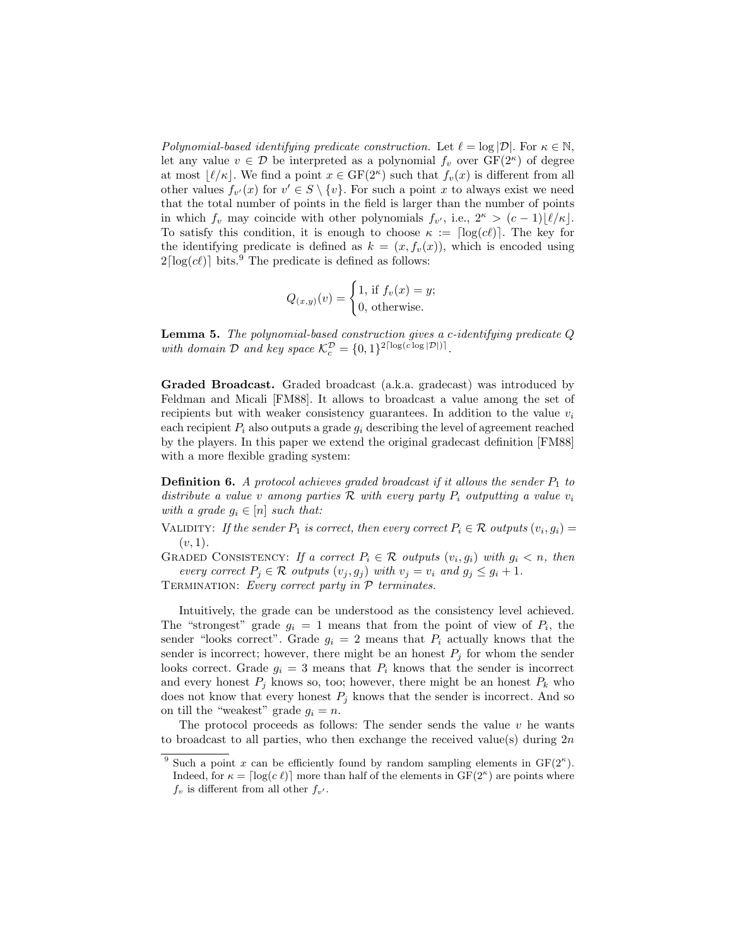Polynomial-based identifying predicate construction. Let  $\ell = \log |\mathcal{D}|$ . For  $\kappa \in \mathbb{N}$ , let any value  $v \in \mathcal{D}$  be interpreted as a polynomial  $f_v$  over  $GF(2^{\kappa})$  of degree at most  $\lfloor \ell / \kappa \rfloor$ . We find a point  $x \in \text{GF}(2^{\kappa})$  such that  $f_v(x)$  is different from all other values  $f_{v'}(x)$  for  $v' \in S \setminus \{v\}$ . For such a point x to always exist we need that the total number of points in the field is larger than the number of points in which  $f_v$  may coincide with other polynomials  $f_{v'}$ , i.e.,  $2^{\kappa} > (c-1)\lfloor \ell/\kappa \rfloor$ . To satisfy this condition, it is enough to choose  $\kappa := \lceil \log(c\ell) \rceil$ . The key for the identifying predicate is defined as  $k = (x, f_v(x))$ , which is encoded using  $2\lceil \log(c\ell) \rceil$  bits.<sup>9</sup> The predicate is defined as follows:

$$
Q_{(x,y)}(v) = \begin{cases} 1, \text{ if } f_v(x) = y; \\ 0, \text{ otherwise.} \end{cases}
$$

**Lemma 5.** The polynomial-based construction gives a c-identifying predicate  $Q$ with domain  $D$  and key space  $\mathcal{K}_c^D = \{0, 1\}^2^{\lceil \log(c \log |\mathcal{D}|) \rceil}$ .

Graded Broadcast. Graded broadcast (a.k.a. gradecast) was introduced by Feldman and Micali [FM88]. It allows to broadcast a value among the set of recipients but with weaker consistency guarantees. In addition to the value  $v_i$ each recipient  $P_i$  also outputs a grade  $g_i$  describing the level of agreement reached by the players. In this paper we extend the original gradecast definition [FM88] with a more flexible grading system:

**Definition 6.** A protocol achieves graded broadcast if it allows the sender  $P_1$  to distribute a value v among parties  $\mathcal R$  with every party  $P_i$  outputting a value  $v_i$ with a grade  $g_i \in [n]$  such that:

VALIDITY: If the sender  $P_1$  is correct, then every correct  $P_i \in \mathcal{R}$  outputs  $(v_i, g_i) =$  $(v, 1)$ .

GRADED CONSISTENCY: If a correct  $P_i \in \mathcal{R}$  outputs  $(v_i, g_i)$  with  $g_i < n$ , then every correct  $P_j \in \mathcal{R}$  outputs  $(v_j, g_j)$  with  $v_j = v_i$  and  $g_j \leq g_i + 1$ .

TERMINATION: Every correct party in  $P$  terminates.

Intuitively, the grade can be understood as the consistency level achieved. The "strongest" grade  $g_i = 1$  means that from the point of view of  $P_i$ , the sender "looks correct". Grade  $g_i = 2$  means that  $P_i$  actually knows that the sender is incorrect; however, there might be an honest  $P_j$  for whom the sender looks correct. Grade  $g_i = 3$  means that  $P_i$  knows that the sender is incorrect and every honest  $P_j$  knows so, too; however, there might be an honest  $P_k$  who does not know that every honest  $P_j$  knows that the sender is incorrect. And so on till the "weakest" grade  $g_i = n$ .

The protocol proceeds as follows: The sender sends the value  $v$  he wants to broadcast to all parties, who then exchange the received value(s) during  $2n$ 

<sup>&</sup>lt;sup>9</sup> Such a point x can be efficiently found by random sampling elements in  $GF(2^{\kappa})$ . Indeed, for  $\kappa = \lceil \log(c \ell) \rceil$  more than half of the elements in  $GF(2^{\kappa})$  are points where  $f_v$  is different from all other  $f_{v'}$ .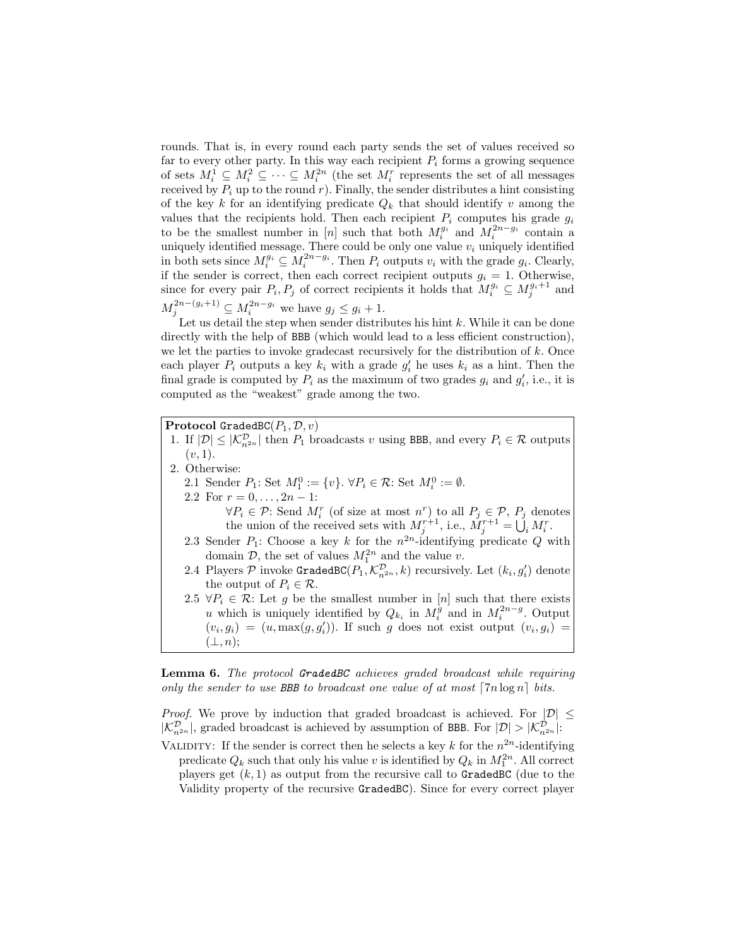rounds. That is, in every round each party sends the set of values received so far to every other party. In this way each recipient  $P_i$  forms a growing sequence of sets  $M_i^1 \subseteq M_i^2 \subseteq \cdots \subseteq M_i^{2n}$  (the set  $M_i^r$  represents the set of all messages received by  $P_i$  up to the round r). Finally, the sender distributes a hint consisting of the key k for an identifying predicate  $Q_k$  that should identify v among the values that the recipients hold. Then each recipient  $P_i$  computes his grade  $g_i$ to be the smallest number in [n] such that both  $M_i^{g_i}$  and  $M_i^{2n-g_i}$  contain a uniquely identified message. There could be only one value  $v_i$  uniquely identified in both sets since  $M_i^{g_i} \subseteq M_i^{2n-g_i}$ . Then  $P_i$  outputs  $v_i$  with the grade  $g_i$ . Clearly, if the sender is correct, then each correct recipient outputs  $g_i = 1$ . Otherwise, since for every pair  $P_i, P_j$  of correct recipients it holds that  $M_i^{g_i} \subseteq M_j^{g_i+1}$  and  $M_j^{2n-(g_i+1)} \subseteq M_i^{2n-g_i}$  we have  $g_j \leq g_i+1$ .

Let us detail the step when sender distributes his hint  $k$ . While it can be done directly with the help of BBB (which would lead to a less efficient construction), we let the parties to invoke gradecast recursively for the distribution of  $k$ . Once each player  $P_i$  outputs a key  $k_i$  with a grade  $g'_i$  he uses  $k_i$  as a hint. Then the final grade is computed by  $P_i$  as the maximum of two grades  $g_i$  and  $g'_i$ , i.e., it is computed as the "weakest" grade among the two.

**Protocol GradedBC** $(P_1, \mathcal{D}, v)$ 

- 1. If  $|\mathcal{D}| \leq |\mathcal{K}_{n^{2n}}^{\mathcal{D}}|$  then  $P_1$  broadcasts v using BBB, and every  $P_i \in \mathcal{R}$  outputs  $(v, 1)$ .
- 2. Otherwise:
	- 2.1 Sender  $P_1$ : Set  $M_1^0 := \{v\}$ .  $\forall P_i \in \mathcal{R}$ : Set  $M_i^0 := \emptyset$ .

2.2 For  $r = 0, \ldots, 2n - 1$ :  $\forall P_i \in \mathcal{P}$ : Send  $M_i^r$  (of size at most  $n^r$ ) to all  $P_j \in \mathcal{P}$ ,  $P_j$  denotes the union of the received sets with  $M_j^{r+1}$ , i.e.,  $M_j^{r+1} = \bigcup_i M_i^r$ .

- 2.3 Sender  $P_1$ : Choose a key k for the  $n^{2n}$ -identifying predicate Q with domain  $\mathcal{D}$ , the set of values  $M_1^{2n}$  and the value v.
- 2.4 Players  $P$  invoke GradedBC( $P_1, \mathcal{K}_{n^{2n}}^{\mathcal{D}}, k$ ) recursively. Let  $(k_i, g'_i)$  denote the output of  $P_i \in \mathcal{R}$ .
- 2.5  $\forall P_i \in \mathcal{R}$ : Let g be the smallest number in [n] such that there exists u which is uniquely identified by  $Q_{k_i}$  in  $M_i^{\tilde{g}}$  and in  $M_i^{2n-g}$ . Output  $(v_i, g_i) = (u, \max(g, g'_i))$ . If such g does not exist output  $(v_i, g_i)$  =  $(\perp, n);$

Lemma 6. The protocol GradedBC achieves graded broadcast while requiring only the sender to use BBB to broadcast one value of at most  $[7n \log n]$  bits.

*Proof.* We prove by induction that graded broadcast is achieved. For  $|\mathcal{D}|$  <  $|\mathcal{K}_{n^{2n}}^{\mathcal{D}}|$ , graded broadcast is achieved by assumption of BBB. For  $|\mathcal{D}| > |\mathcal{K}_{n^{2n}}^{\mathcal{D}}|$ :

VALIDITY: If the sender is correct then he selects a key k for the  $n^{2n}$ -identifying predicate  $Q_k$  such that only his value v is identified by  $Q_k$  in  $M_1^{2n}$ . All correct players get  $(k, 1)$  as output from the recursive call to GradedBC (due to the Validity property of the recursive GradedBC). Since for every correct player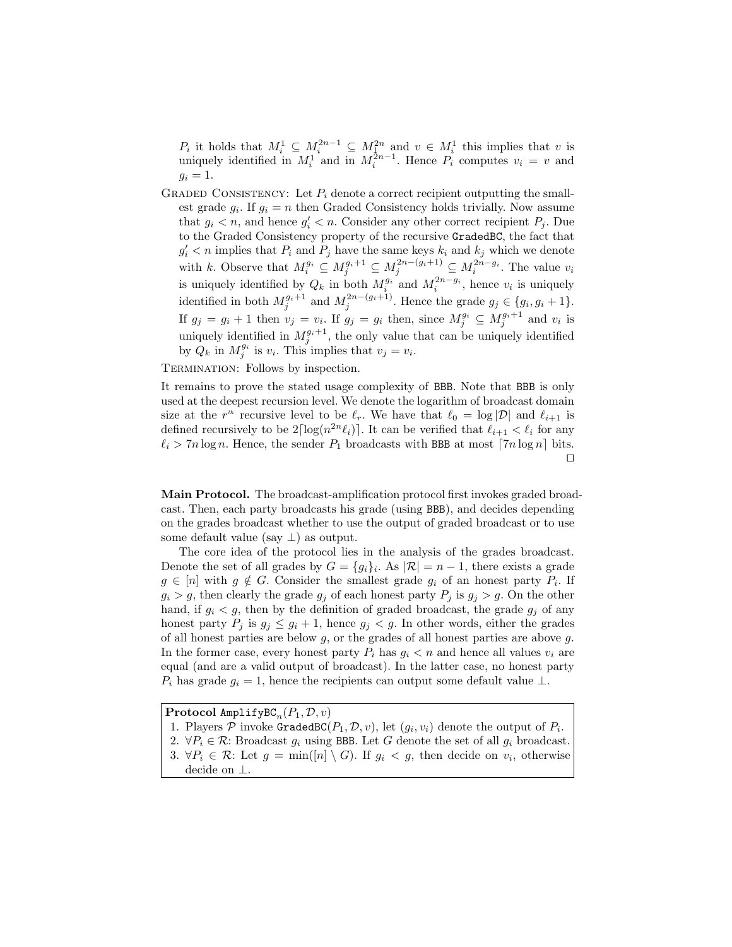$P_i$  it holds that  $M_i^1 \subseteq M_i^{2n-1} \subseteq M_i^{2n}$  and  $v \in M_i^1$  this implies that v is uniquely identified in  $M_i^1$  and in  $M_i^{\bar{2}n-1}$ . Hence  $P_i$  computes  $v_i = v$  and  $g_i = 1$ .

GRADED CONSISTENCY: Let  $P_i$  denote a correct recipient outputting the smallest grade  $g_i$ . If  $g_i = n$  then Graded Consistency holds trivially. Now assume that  $g_i < n$ , and hence  $g'_i < n$ . Consider any other correct recipient  $P_j$ . Due to the Graded Consistency property of the recursive GradedBC, the fact that  $g_i' < n$  implies that  $P_i$  and  $P_j$  have the same keys  $k_i$  and  $k_j$  which we denote with k. Observe that  $M_i^{g_i} \subseteq M_j^{g_i+1} \subseteq M_j^{2n-(g_i+1)} \subseteq M_i^{2n-g_i}$ . The value  $v_i$ is uniquely identified by  $Q_k$  in both  $M_i^{g_i}$  and  $M_i^{2n-g_i}$ , hence  $v_i$  is uniquely identified in both  $M_j^{g_i+1}$  and  $M_j^{2n-(g_i+1)}$ . Hence the grade  $g_j \in \{g_i, g_i+1\}$ . If  $g_j = g_i + 1$  then  $v_j = v_i$ . If  $g_j = g_i$  then, since  $M_j^{g_i} \subseteq M_j^{g_i+1}$  and  $v_i$  is uniquely identified in  $M_j^{g_i+1}$ , the only value that can be uniquely identified by  $\hat{Q}_k$  in  $M_j^{g_i}$  is  $v_i$ . This implies that  $v_j = v_i$ .

TERMINATION: Follows by inspection.

It remains to prove the stated usage complexity of BBB. Note that BBB is only used at the deepest recursion level. We denote the logarithm of broadcast domain size at the  $r^{th}$  recursive level to be  $\ell_r$ . We have that  $\ell_0 = \log |\mathcal{D}|$  and  $\ell_{i+1}$  is defined recursively to be  $2\lceil \log(n^{2n}\ell_i)\rceil$ . It can be verified that  $\ell_{i+1} < \ell_i$  for any  $\ell_i > 7n \log n$ . Hence, the sender  $P_1$  broadcasts with BBB at most  $7n \log n$  bits.  $\Box$ 

Main Protocol. The broadcast-amplification protocol first invokes graded broadcast. Then, each party broadcasts his grade (using BBB), and decides depending on the grades broadcast whether to use the output of graded broadcast or to use some default value (say  $\perp$ ) as output.

The core idea of the protocol lies in the analysis of the grades broadcast. Denote the set of all grades by  $G = \{g_i\}_i$ . As  $|\mathcal{R}| = n - 1$ , there exists a grade  $g \in [n]$  with  $g \notin G$ . Consider the smallest grade  $g_i$  of an honest party  $P_i$ . If  $g_i > g$ , then clearly the grade  $g_j$  of each honest party  $P_j$  is  $g_j > g$ . On the other hand, if  $g_i < g$ , then by the definition of graded broadcast, the grade  $g_j$  of any honest party  $P_j$  is  $g_j \leq g_i + 1$ , hence  $g_j < g$ . In other words, either the grades of all honest parties are below  $g$ , or the grades of all honest parties are above  $g$ . In the former case, every honest party  $P_i$  has  $q_i < n$  and hence all values  $v_i$  are equal (and are a valid output of broadcast). In the latter case, no honest party  $P_i$  has grade  $g_i = 1$ , hence the recipients can output some default value  $\perp$ .

 $\mathbf{Protocol}$  <code>AmplifyBC</code> $_n(P_1, \mathcal{D}, v)$ 

- 1. Players  $P$  invoke GradedBC( $P_1, D, v$ ), let  $(g_i, v_i)$  denote the output of  $P_i$ .
- 2.  $\forall P_i \in \mathcal{R}$ : Broadcast  $g_i$  using BBB. Let G denote the set of all  $g_i$  broadcast. 3.  $\forall P_i \in \mathcal{R}$ : Let  $g = \min([n] \setminus G)$ . If  $g_i < g$ , then decide on  $v_i$ , otherwise
- decide on ⊥.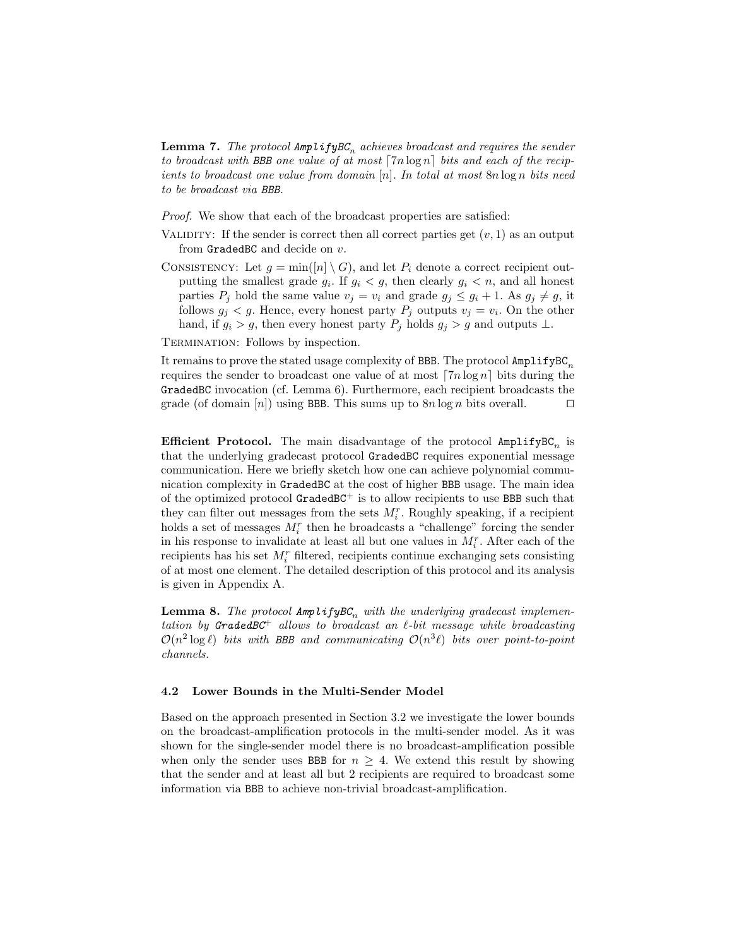**Lemma 7.** The protocol  $\textsf{AmplifyBC}_n$  achieves broadcast and requires the sender to broadcast with BBB one value of at most  $\lceil 7n \log n \rceil$  bits and each of the recipients to broadcast one value from domain  $[n]$ . In total at most  $8n \log n$  bits need to be broadcast via BBB.

Proof. We show that each of the broadcast properties are satisfied:

- VALIDITY: If the sender is correct then all correct parties get  $(v, 1)$  as an output from GradedBC and decide on v.
- CONSISTENCY: Let  $g = min([n] \setminus G)$ , and let  $P_i$  denote a correct recipient outputting the smallest grade  $g_i$ . If  $g_i < g$ , then clearly  $g_i < n$ , and all honest parties  $P_j$  hold the same value  $v_j = v_i$  and grade  $g_j \leq g_i + 1$ . As  $g_j \neq g$ , it follows  $g_j < g$ . Hence, every honest party  $P_j$  outputs  $v_j = v_i$ . On the other hand, if  $g_i > g$ , then every honest party  $P_j$  holds  $g_j > g$  and outputs  $\perp$ .

Termination: Follows by inspection.

It remains to prove the stated usage complexity of BBB. The protocol  $\texttt{AmplifyBC}_n$ requires the sender to broadcast one value of at most  $\lceil 7n \log n \rceil$  bits during the GradedBC invocation (cf. Lemma 6). Furthermore, each recipient broadcasts the grade (of domain [n]) using BBB. This sums up to  $8n \log n$  bits overall.  $\Box$ 

**Efficient Protocol.** The main disadvantage of the protocol  $\texttt{AmplifyBC}_n$  is that the underlying gradecast protocol GradedBC requires exponential message communication. Here we briefly sketch how one can achieve polynomial communication complexity in GradedBC at the cost of higher BBB usage. The main idea of the optimized protocol  $GradBCE^+$  is to allow recipients to use BBB such that they can filter out messages from the sets  $M_i^r$ . Roughly speaking, if a recipient holds a set of messages  $M_i^r$  then he broadcasts a "challenge" forcing the sender in his response to invalidate at least all but one values in  $M_i^r$ . After each of the recipients has his set  $M_i^r$  filtered, recipients continue exchanging sets consisting of at most one element. The detailed description of this protocol and its analysis is given in Appendix A.

**Lemma 8.** The protocol  $\text{Amp}$  lify  $BC_n$  with the underlying gradecast implementation by GradedBC<sup>+</sup> allows to broadcast an  $\ell$ -bit message while broadcasting  $\mathcal{O}(n^2 \log \ell)$  bits with BBB and communicating  $\mathcal{O}(n^3 \ell)$  bits over point-to-point channels.

### 4.2 Lower Bounds in the Multi-Sender Model

Based on the approach presented in Section 3.2 we investigate the lower bounds on the broadcast-amplification protocols in the multi-sender model. As it was shown for the single-sender model there is no broadcast-amplification possible when only the sender uses BBB for  $n \geq 4$ . We extend this result by showing that the sender and at least all but 2 recipients are required to broadcast some information via BBB to achieve non-trivial broadcast-amplification.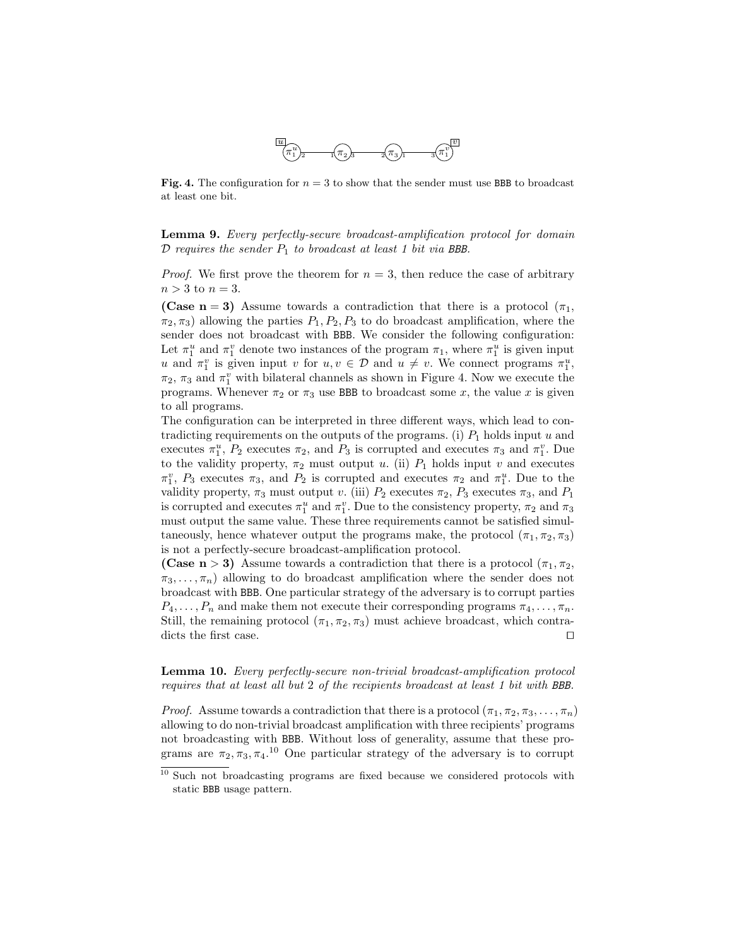

Fig. 4. The configuration for  $n = 3$  to show that the sender must use BBB to broadcast at least one bit.

Lemma 9. Every perfectly-secure broadcast-amplification protocol for domain  $\mathcal D$  requires the sender  $P_1$  to broadcast at least 1 bit via BBB.

*Proof.* We first prove the theorem for  $n = 3$ , then reduce the case of arbitrary  $n > 3$  to  $n = 3$ .

(Case n = 3) Assume towards a contradiction that there is a protocol  $(\pi_1,$  $\pi_2, \pi_3$ ) allowing the parties  $P_1, P_2, P_3$  to do broadcast amplification, where the sender does not broadcast with BBB. We consider the following configuration: Let  $\pi_1^u$  and  $\pi_1^v$  denote two instances of the program  $\pi_1$ , where  $\pi_1^u$  is given input u and  $\pi_1^v$  is given input v for  $u, v \in \mathcal{D}$  and  $u \neq v$ . We connect programs  $\pi_1^u$ ,  $\pi_2$ ,  $\pi_3$  and  $\pi_1^v$  with bilateral channels as shown in Figure 4. Now we execute the programs. Whenever  $\pi_2$  or  $\pi_3$  use BBB to broadcast some x, the value x is given to all programs.

The configuration can be interpreted in three different ways, which lead to contradicting requirements on the outputs of the programs. (i)  $P_1$  holds input u and executes  $\pi_1^u$ ,  $P_2$  executes  $\pi_2$ , and  $P_3$  is corrupted and executes  $\pi_3$  and  $\pi_1^v$ . Due to the validity property,  $\pi_2$  must output u. (ii)  $P_1$  holds input v and executes  $\pi_1^v$ ,  $P_3$  executes  $\pi_3$ , and  $P_2$  is corrupted and executes  $\pi_2$  and  $\pi_1^u$ . Due to the validity property,  $\pi_3$  must output v. (iii)  $P_2$  executes  $\pi_2$ ,  $P_3$  executes  $\pi_3$ , and  $P_1$ is corrupted and executes  $\pi_1^u$  and  $\pi_1^v$ . Due to the consistency property,  $\pi_2$  and  $\pi_3$ must output the same value. These three requirements cannot be satisfied simultaneously, hence whatever output the programs make, the protocol  $(\pi_1, \pi_2, \pi_3)$ is not a perfectly-secure broadcast-amplification protocol.

(Case n > 3) Assume towards a contradiction that there is a protocol  $(\pi_1, \pi_2,$  $\pi_3, \ldots, \pi_n$ ) allowing to do broadcast amplification where the sender does not broadcast with BBB. One particular strategy of the adversary is to corrupt parties  $P_4, \ldots, P_n$  and make them not execute their corresponding programs  $\pi_4, \ldots, \pi_n$ . Still, the remaining protocol  $(\pi_1, \pi_2, \pi_3)$  must achieve broadcast, which contradicts the first case.  $\Box$ 

Lemma 10. Every perfectly-secure non-trivial broadcast-amplification protocol requires that at least all but 2 of the recipients broadcast at least 1 bit with BBB.

*Proof.* Assume towards a contradiction that there is a protocol  $(\pi_1, \pi_2, \pi_3, \ldots, \pi_n)$ allowing to do non-trivial broadcast amplification with three recipients' programs not broadcasting with BBB. Without loss of generality, assume that these programs are  $\pi_2, \pi_3, \pi_4$ <sup>10</sup> One particular strategy of the adversary is to corrupt

<sup>&</sup>lt;sup>10</sup> Such not broadcasting programs are fixed because we considered protocols with static BBB usage pattern.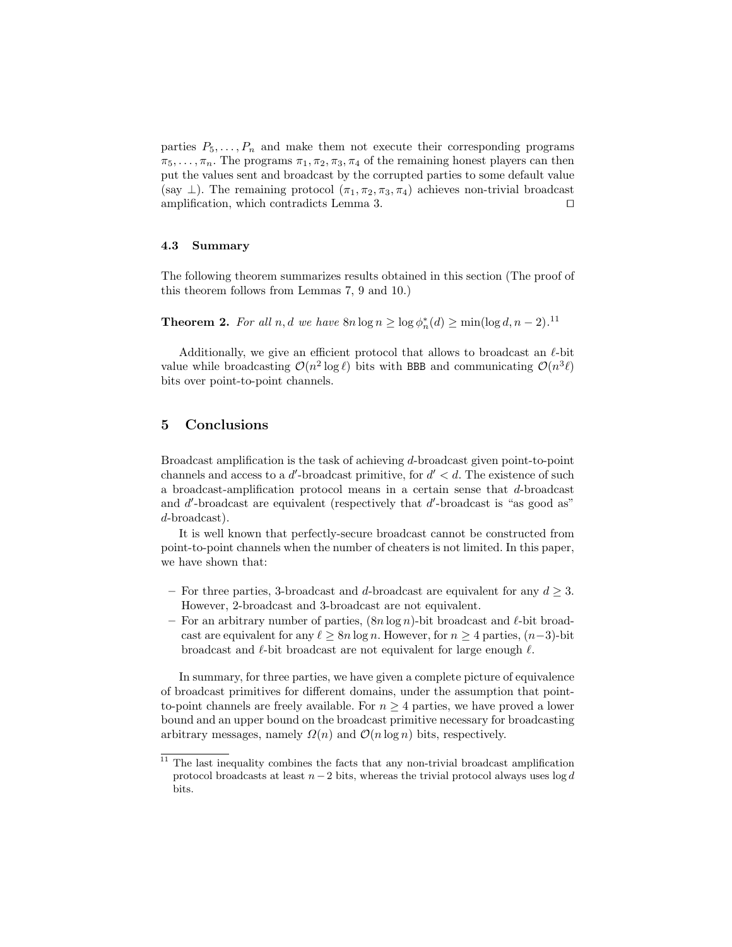parties  $P_5, \ldots, P_n$  and make them not execute their corresponding programs  $\pi_5, \ldots, \pi_n$ . The programs  $\pi_1, \pi_2, \pi_3, \pi_4$  of the remaining honest players can then put the values sent and broadcast by the corrupted parties to some default value (say  $\perp$ ). The remaining protocol  $(\pi_1, \pi_2, \pi_3, \pi_4)$  achieves non-trivial broadcast amplification, which contradicts Lemma 3.  $\Box$ 

# 4.3 Summary

The following theorem summarizes results obtained in this section (The proof of this theorem follows from Lemmas 7, 9 and 10.)

**Theorem 2.** For all n, d we have  $8n \log n \ge \log \phi_n^*(d) \ge \min(\log d, n-2)$ .<sup>11</sup>

Additionally, we give an efficient protocol that allows to broadcast an  $\ell$ -bit value while broadcasting  $\mathcal{O}(n^2 \log \ell)$  bits with BBB and communicating  $\mathcal{O}(n^3 \ell)$ bits over point-to-point channels.

# 5 Conclusions

Broadcast amplification is the task of achieving d-broadcast given point-to-point channels and access to a  $d'$ -broadcast primitive, for  $d' < d$ . The existence of such a broadcast-amplification protocol means in a certain sense that d-broadcast and  $d'$ -broadcast are equivalent (respectively that  $d'$ -broadcast is "as good as" d-broadcast).

It is well known that perfectly-secure broadcast cannot be constructed from point-to-point channels when the number of cheaters is not limited. In this paper, we have shown that:

- For three parties, 3-broadcast and d-broadcast are equivalent for any  $d \geq 3$ . However, 2-broadcast and 3-broadcast are not equivalent.
- For an arbitrary number of parties,  $(8n \log n)$ -bit broadcast and  $\ell$ -bit broadcast are equivalent for any  $\ell \geq 8n \log n$ . However, for  $n \geq 4$  parties,  $(n-3)$ -bit broadcast and  $\ell$ -bit broadcast are not equivalent for large enough  $\ell$ .

In summary, for three parties, we have given a complete picture of equivalence of broadcast primitives for different domains, under the assumption that pointto-point channels are freely available. For  $n \geq 4$  parties, we have proved a lower bound and an upper bound on the broadcast primitive necessary for broadcasting arbitrary messages, namely  $\Omega(n)$  and  $\mathcal{O}(n \log n)$  bits, respectively.

 $11$  The last inequality combines the facts that any non-trivial broadcast amplification protocol broadcasts at least  $n-2$  bits, whereas the trivial protocol always uses log d bits.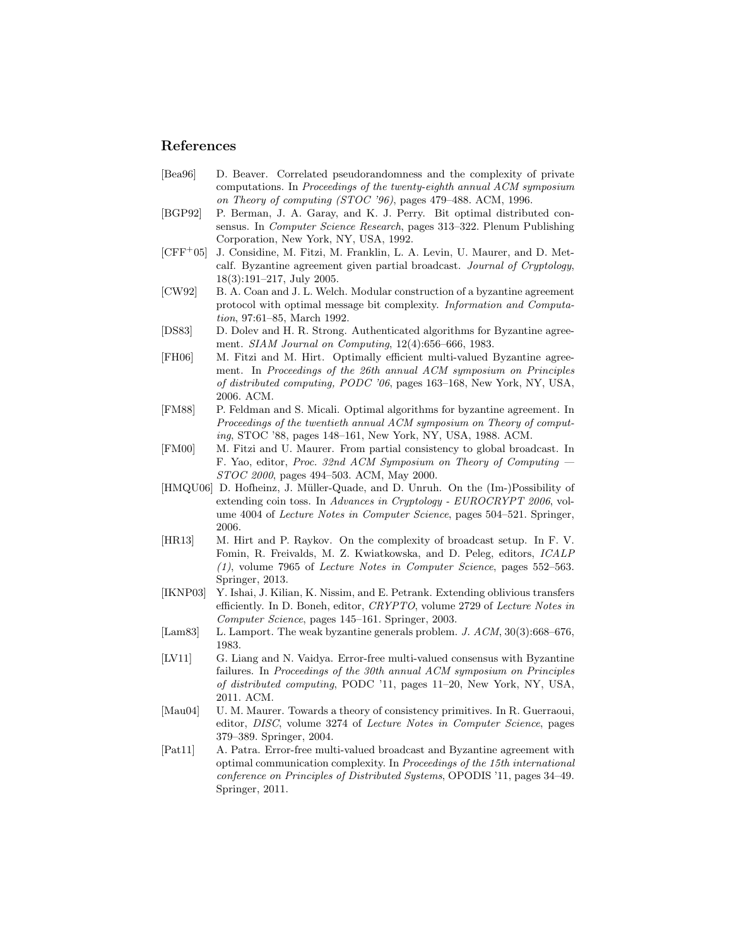# References

- [Bea96] D. Beaver. Correlated pseudorandomness and the complexity of private computations. In Proceedings of the twenty-eighth annual ACM symposium on Theory of computing (STOC '96), pages 479–488. ACM, 1996.
- [BGP92] P. Berman, J. A. Garay, and K. J. Perry. Bit optimal distributed consensus. In Computer Science Research, pages 313–322. Plenum Publishing Corporation, New York, NY, USA, 1992.
- [CFF<sup>+</sup>05] J. Considine, M. Fitzi, M. Franklin, L. A. Levin, U. Maurer, and D. Metcalf. Byzantine agreement given partial broadcast. Journal of Cryptology, 18(3):191–217, July 2005.
- [CW92] B. A. Coan and J. L. Welch. Modular construction of a byzantine agreement protocol with optimal message bit complexity. Information and Computation, 97:61–85, March 1992.
- [DS83] D. Dolev and H. R. Strong. Authenticated algorithms for Byzantine agreement. SIAM Journal on Computing, 12(4):656–666, 1983.
- [FH06] M. Fitzi and M. Hirt. Optimally efficient multi-valued Byzantine agreement. In Proceedings of the 26th annual ACM symposium on Principles of distributed computing, PODC '06, pages 163–168, New York, NY, USA, 2006. ACM.
- [FM88] P. Feldman and S. Micali. Optimal algorithms for byzantine agreement. In Proceedings of the twentieth annual ACM symposium on Theory of computing, STOC '88, pages 148–161, New York, NY, USA, 1988. ACM.
- [FM00] M. Fitzi and U. Maurer. From partial consistency to global broadcast. In F. Yao, editor, Proc. 32nd ACM Symposium on Theory of Computing — STOC 2000, pages 494–503. ACM, May 2000.
- [HMQU06] D. Hofheinz, J. Müller-Quade, and D. Unruh. On the (Im-)Possibility of extending coin toss. In Advances in Cryptology - EUROCRYPT 2006, volume 4004 of Lecture Notes in Computer Science, pages 504–521. Springer, 2006.
- [HR13] M. Hirt and P. Raykov. On the complexity of broadcast setup. In F. V. Fomin, R. Freivalds, M. Z. Kwiatkowska, and D. Peleg, editors, ICALP (1), volume 7965 of Lecture Notes in Computer Science, pages 552–563. Springer, 2013.
- [IKNP03] Y. Ishai, J. Kilian, K. Nissim, and E. Petrank. Extending oblivious transfers efficiently. In D. Boneh, editor, CRYPTO, volume 2729 of Lecture Notes in Computer Science, pages 145–161. Springer, 2003.
- [Lam83] L. Lamport. The weak byzantine generals problem. J. ACM, 30(3):668-676, 1983.
- [LV11] G. Liang and N. Vaidya. Error-free multi-valued consensus with Byzantine failures. In Proceedings of the 30th annual ACM symposium on Principles of distributed computing, PODC '11, pages 11–20, New York, NY, USA, 2011. ACM.
- [Mau04] U. M. Maurer. Towards a theory of consistency primitives. In R. Guerraoui, editor, DISC, volume 3274 of Lecture Notes in Computer Science, pages 379–389. Springer, 2004.
- [Pat11] A. Patra. Error-free multi-valued broadcast and Byzantine agreement with optimal communication complexity. In Proceedings of the 15th international conference on Principles of Distributed Systems, OPODIS '11, pages 34–49. Springer, 2011.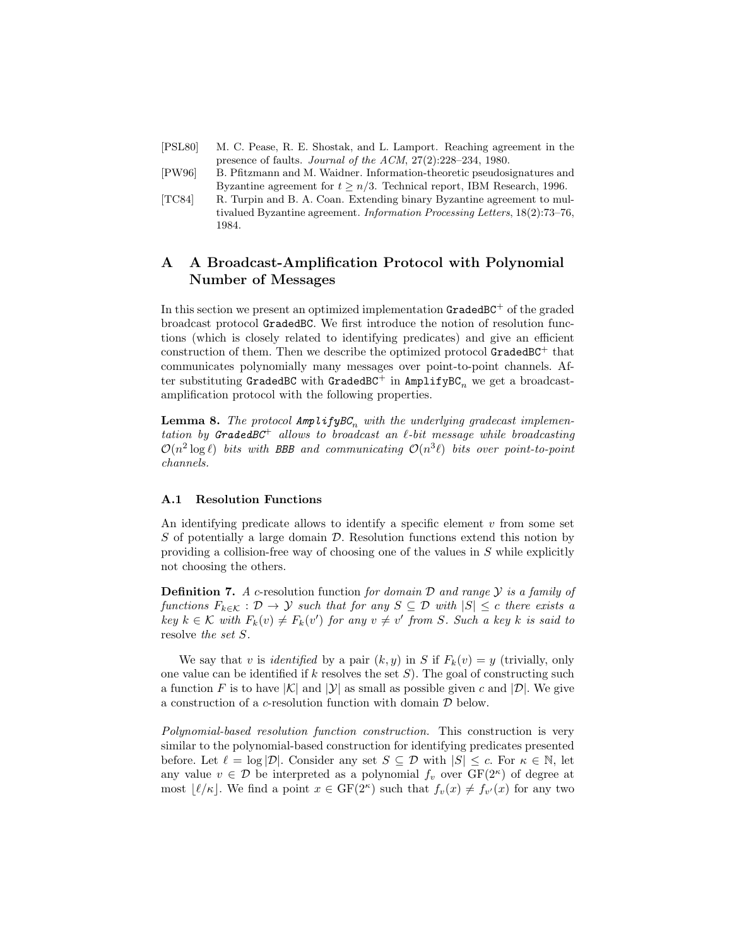- [PSL80] M. C. Pease, R. E. Shostak, and L. Lamport. Reaching agreement in the presence of faults. Journal of the ACM, 27(2):228–234, 1980.
- [PW96] B. Pfitzmann and M. Waidner. Information-theoretic pseudosignatures and Byzantine agreement for  $t > n/3$ . Technical report, IBM Research, 1996.
- [TC84] R. Turpin and B. A. Coan. Extending binary Byzantine agreement to multivalued Byzantine agreement. Information Processing Letters, 18(2):73–76, 1984.

# A A Broadcast-Amplification Protocol with Polynomial Number of Messages

In this section we present an optimized implementation  $G$ raded $BC^+$  of the graded broadcast protocol GradedBC. We first introduce the notion of resolution functions (which is closely related to identifying predicates) and give an efficient construction of them. Then we describe the optimized protocol  $GradBCT$  that communicates polynomially many messages over point-to-point channels. After substituting GradedBC with GradedBC<sup>+</sup> in AmplifyBC<sub>n</sub> we get a broadcastamplification protocol with the following properties.

**Lemma 8.** The protocol  $\text{Amp}$  lify  $BC_n$  with the underlying gradecast implementation by GradedBC<sup>+</sup> allows to broadcast an  $\ell$ -bit message while broadcasting  $\mathcal{O}(n^2 \log \ell)$  bits with BBB and communicating  $\mathcal{O}(n^3 \ell)$  bits over point-to-point channels.

### A.1 Resolution Functions

An identifying predicate allows to identify a specific element  $v$  from some set  $S$  of potentially a large domain  $D$ . Resolution functions extend this notion by providing a collision-free way of choosing one of the values in S while explicitly not choosing the others.

**Definition 7.** A c-resolution function for domain  $D$  and range  $Y$  is a family of functions  $F_{k\in\mathcal{K}}: \mathcal{D} \to \mathcal{Y}$  such that for any  $S \subseteq \mathcal{D}$  with  $|S| \leq c$  there exists a  $key \; k \in \mathcal{K}$  with  $F_k(v) \neq F_k(v')$  for any  $v \neq v'$  from S. Such a key k is said to resolve the set S.

We say that v is *identified* by a pair  $(k, y)$  in S if  $F_k(v) = y$  (trivially, only one value can be identified if k resolves the set  $S$ ). The goal of constructing such a function F is to have  $|\mathcal{K}|$  and  $|\mathcal{Y}|$  as small as possible given c and  $|\mathcal{D}|$ . We give a construction of a c-resolution function with domain D below.

Polynomial-based resolution function construction. This construction is very similar to the polynomial-based construction for identifying predicates presented before. Let  $\ell = \log |\mathcal{D}|$ . Consider any set  $S \subseteq \mathcal{D}$  with  $|S| \leq c$ . For  $\kappa \in \mathbb{N}$ , let any value  $v \in \mathcal{D}$  be interpreted as a polynomial  $f_v$  over  $GF(2^{\kappa})$  of degree at most  $\lfloor \ell / \kappa \rfloor$ . We find a point  $x \in \text{GF}(2^{\kappa})$  such that  $f_v(x) \neq f_{v'}(x)$  for any two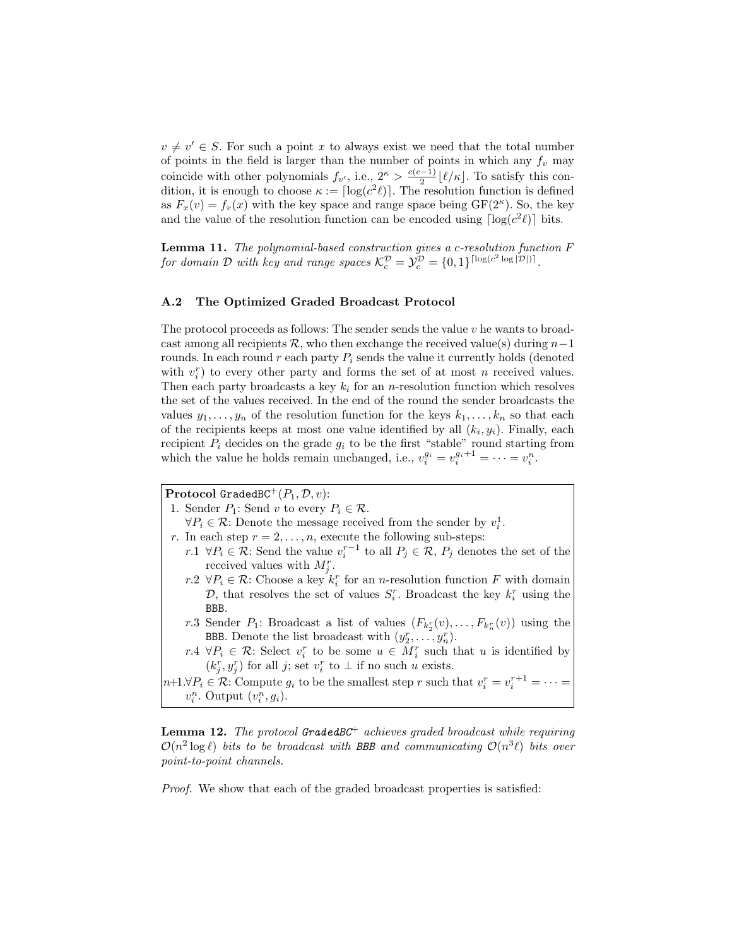$v \neq v' \in S$ . For such a point x to always exist we need that the total number of points in the field is larger than the number of points in which any  $f_v$  may coincide with other polynomials  $f_{v'}$ , i.e.,  $2^{\kappa} > \frac{c(c-1)}{2}$  $\frac{(-1)}{2}$  [ $\ell/\kappa$ ]. To satisfy this condition, it is enough to choose  $\kappa := \lceil \log(c^2 \ell) \rceil$ . The resolution function is defined as  $F_x(v) = f_v(x)$  with the key space and range space being  $GF(2^{\kappa})$ . So, the key and the value of the resolution function can be encoded using  $\lceil \log(c^2 \ell) \rceil$  bits.

Lemma 11. The polynomial-based construction gives a c-resolution function F for domain D with key and range spaces  $\mathcal{K}_c^{\mathcal{D}} = \mathcal{Y}_c^{\mathcal{D}} = \{0,1\}^{\lceil \log(c^2 \log|\mathcal{D}|) \rceil}$ .

#### A.2 The Optimized Graded Broadcast Protocol

The protocol proceeds as follows: The sender sends the value  $v$  he wants to broadcast among all recipients R, who then exchange the received value(s) during  $n-1$ rounds. In each round r each party  $P_i$  sends the value it currently holds (denoted with  $v_i^r$ ) to every other party and forms the set of at most n received values. Then each party broadcasts a key  $k_i$  for an *n*-resolution function which resolves the set of the values received. In the end of the round the sender broadcasts the values  $y_1, \ldots, y_n$  of the resolution function for the keys  $k_1, \ldots, k_n$  so that each of the recipients keeps at most one value identified by all  $(k_i, y_i)$ . Finally, each recipient  $P_i$  decides on the grade  $g_i$  to be the first "stable" round starting from which the value he holds remain unchanged, i.e.,  $v_i^{g_i} = v_i^{g_i+1} = \cdots = v_i^n$ .

**Protocol GradedBC**<sup>+</sup> $(P_1, \mathcal{D}, v)$ :

1. Sender  $P_1$ : Send v to every  $P_i \in \mathcal{R}$ .

 $\forall P_i \in \mathcal{R}$ : Denote the message received from the sender by  $v_i^1$ .

- r. In each step  $r = 2, \ldots, n$ , execute the following sub-steps:
	- r.1  $\forall P_i \in \mathcal{R}$ : Send the value  $v_i^{r-1}$  to all  $P_j \in \mathcal{R}$ ,  $P_j$  denotes the set of the received values with  $M_j^r$ .
	- r.2  $\forall P_i \in \mathcal{R}$ : Choose a key  $k_i^r$  for an n-resolution function F with domain  $\mathcal{D}$ , that resolves the set of values  $S_i^r$ . Broadcast the key  $k_i^r$  using the BBB.
	- r.3 Sender  $P_1$ : Broadcast a list of values  $(F_{k_2^r}(v),...,F_{k_n^r}(v))$  using the BBB. Denote the list broadcast with  $(y_2^r, \ldots, y_n^r)$ .
	- r.4  $\forall P_i \in \mathcal{R}$ : Select  $v_i^r$  to be some  $u \in M_i^r$  such that u is identified by  $(k_j^r, y_j^r)$  for all j; set  $v_i^r$  to  $\perp$  if no such u exists.

 $n+1.\forall P_i \in \mathcal{R}$ : Compute  $g_i$  to be the smallest step r such that  $v_i^r = v_i^{r+1} = \cdots =$  $v_i^n$ . Output  $(v_i^n, g_i)$ .

**Lemma 12.** The protocol **GradedBC**<sup>+</sup> achieves graded broadcast while requiring  $\mathcal{O}(n^2 \log \ell)$  bits to be broadcast with BBB and communicating  $\mathcal{O}(n^3 \ell)$  bits over point-to-point channels.

Proof. We show that each of the graded broadcast properties is satisfied: